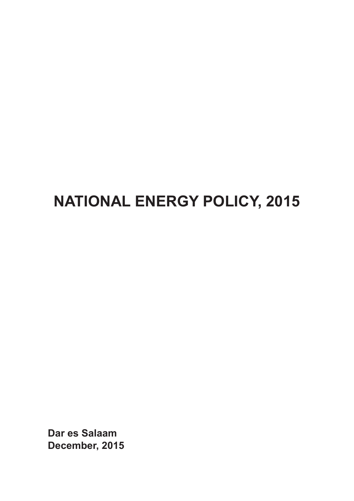# **NATIONAL ENERGY POLICY, 2015**

**Dar es Salaam December, 2015**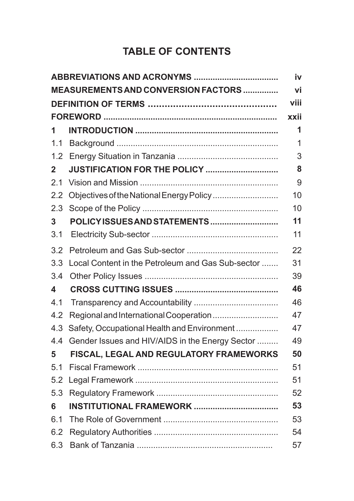#### **TABLE OF CONTENTS**

|              |                                                   | iv   |
|--------------|---------------------------------------------------|------|
|              | MEASUREMENTS AND CONVERSION FACTORS               | vi   |
|              |                                                   | viii |
|              |                                                   | xxii |
| 1            |                                                   | 1    |
| 1.1          |                                                   | 1    |
| 1.2          |                                                   | 3    |
| $\mathbf{2}$ | JUSTIFICATION FOR THE POLICY                      | 8    |
| 2.1          |                                                   | 9    |
| 2.2          | Objectives of the National Energy Policy          | 10   |
| 2.3          |                                                   | 10   |
| 3            | POLICY ISSUES AND STATEMENTS                      | 11   |
| 3.1          |                                                   | 11   |
| 3.2          |                                                   | 22   |
| 3.3          | Local Content in the Petroleum and Gas Sub-sector | 31   |
| 3.4          |                                                   | 39   |
| 4            |                                                   | 46   |
| 4.1          |                                                   | 46   |
| 4.2          | Regional and International Cooperation            | 47   |
| 4.3          | Safety, Occupational Health and Environment       | 47   |
| 4.4          | Gender Issues and HIV/AIDS in the Energy Sector   | 49   |
| 5            | FISCAL, LEGAL AND REGULATORY FRAMEWORKS           | 50   |
| 5.1          |                                                   | 51   |
| 5.2          |                                                   | 51   |
| 5.3          |                                                   | 52   |
| 6            |                                                   | 53   |
| 6.1          |                                                   | 53   |
| 6.2          |                                                   | 54   |
| 6.3          |                                                   | 57   |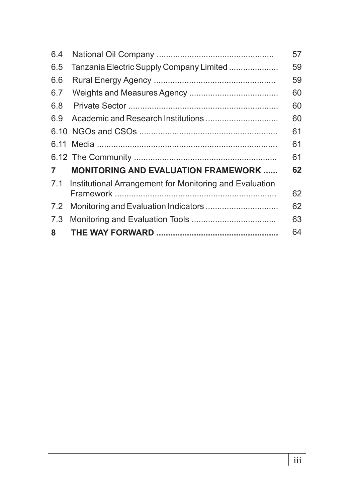| 6.5<br>Tanzania Electric Supply Company Limited<br>6.6<br>6.7<br>6.8<br>6.9<br>$\overline{7}$<br><b>MONITORING AND EVALUATION FRAMEWORK </b><br>7.1<br>Institutional Arrangement for Monitoring and Evaluation<br>7.2<br>7.3 | 6.4 | 57 |
|------------------------------------------------------------------------------------------------------------------------------------------------------------------------------------------------------------------------------|-----|----|
|                                                                                                                                                                                                                              |     | 59 |
|                                                                                                                                                                                                                              |     | 59 |
|                                                                                                                                                                                                                              |     | 60 |
|                                                                                                                                                                                                                              |     | 60 |
|                                                                                                                                                                                                                              |     | 60 |
|                                                                                                                                                                                                                              |     | 61 |
|                                                                                                                                                                                                                              |     | 61 |
|                                                                                                                                                                                                                              |     | 61 |
|                                                                                                                                                                                                                              |     | 62 |
|                                                                                                                                                                                                                              |     | 62 |
|                                                                                                                                                                                                                              |     | 62 |
|                                                                                                                                                                                                                              |     | 63 |
|                                                                                                                                                                                                                              | 8   | 64 |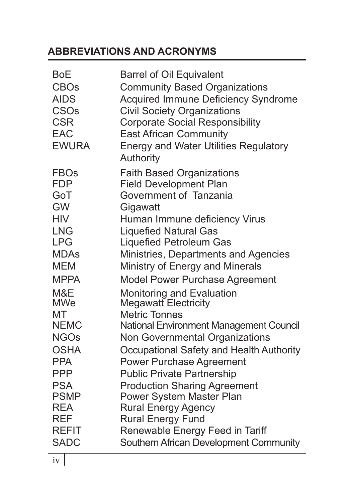## **ABBREVIATIONS AND ACRONYMS**

| <b>BoE</b><br><b>CBOs</b><br><b>AIDS</b><br><b>CSOs</b><br><b>CSR</b><br><b>EAC</b><br><b>EWURA</b> | <b>Barrel of Oil Equivalent</b><br><b>Community Based Organizations</b><br><b>Acquired Immune Deficiency Syndrome</b><br><b>Civil Society Organizations</b><br><b>Corporate Social Responsibility</b><br><b>East African Community</b><br><b>Energy and Water Utilities Regulatory</b><br>Authority |
|-----------------------------------------------------------------------------------------------------|-----------------------------------------------------------------------------------------------------------------------------------------------------------------------------------------------------------------------------------------------------------------------------------------------------|
| <b>FBOs</b>                                                                                         | <b>Faith Based Organizations</b>                                                                                                                                                                                                                                                                    |
| <b>FDP</b>                                                                                          | <b>Field Development Plan</b>                                                                                                                                                                                                                                                                       |
| GoT                                                                                                 | Government of Tanzania                                                                                                                                                                                                                                                                              |
| <b>GW</b>                                                                                           | Gigawatt                                                                                                                                                                                                                                                                                            |
| <b>HIV</b>                                                                                          | Human Immune deficiency Virus                                                                                                                                                                                                                                                                       |
| <b>LNG</b>                                                                                          | <b>Liquefied Natural Gas</b>                                                                                                                                                                                                                                                                        |
| <b>LPG</b>                                                                                          | <b>Liquefied Petroleum Gas</b>                                                                                                                                                                                                                                                                      |
| <b>MDAs</b>                                                                                         | Ministries, Departments and Agencies                                                                                                                                                                                                                                                                |
| <b>MEM</b>                                                                                          | Ministry of Energy and Minerals                                                                                                                                                                                                                                                                     |
| <b>MPPA</b>                                                                                         | Model Power Purchase Agreement                                                                                                                                                                                                                                                                      |
| M&E                                                                                                 | <b>Monitoring and Evaluation</b>                                                                                                                                                                                                                                                                    |
| <b>MWe</b>                                                                                          | <b>Megawatt Electricity</b>                                                                                                                                                                                                                                                                         |
| МT                                                                                                  | <b>Metric Tonnes</b>                                                                                                                                                                                                                                                                                |
| <b>NEMC</b>                                                                                         | <b>National Environment Management Council</b>                                                                                                                                                                                                                                                      |
| <b>NGOs</b>                                                                                         | Non Governmental Organizations                                                                                                                                                                                                                                                                      |
| <b>OSHA</b>                                                                                         | Occupational Safety and Health Authority                                                                                                                                                                                                                                                            |
| <b>PPA</b>                                                                                          | <b>Power Purchase Agreement</b>                                                                                                                                                                                                                                                                     |
| <b>PPP</b>                                                                                          | <b>Public Private Partnership</b>                                                                                                                                                                                                                                                                   |
| <b>PSA</b>                                                                                          | <b>Production Sharing Agreement</b>                                                                                                                                                                                                                                                                 |
| <b>PSMP</b>                                                                                         | <b>Power System Master Plan</b>                                                                                                                                                                                                                                                                     |
| <b>REA</b>                                                                                          | <b>Rural Energy Agency</b>                                                                                                                                                                                                                                                                          |
| <b>REF</b>                                                                                          | <b>Rural Energy Fund</b>                                                                                                                                                                                                                                                                            |
| <b>REFIT</b>                                                                                        | Renewable Energy Feed in Tariff                                                                                                                                                                                                                                                                     |
| <b>SADC</b>                                                                                         | Southern African Development Community                                                                                                                                                                                                                                                              |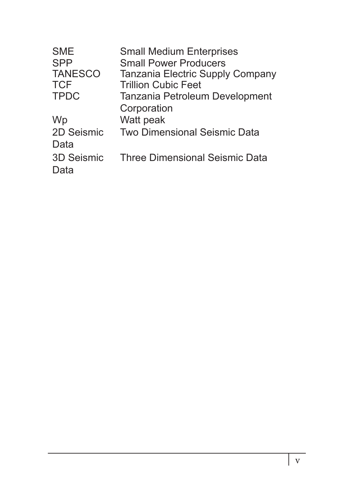| <b>SME</b><br><b>SPP</b><br><b>TANESCO</b><br><b>TCF</b><br><b>TPDC</b> | <b>Small Medium Enterprises</b><br><b>Small Power Producers</b><br>Tanzania Electric Supply Company<br><b>Trillion Cubic Feet</b><br>Tanzania Petroleum Development |
|-------------------------------------------------------------------------|---------------------------------------------------------------------------------------------------------------------------------------------------------------------|
| Wp                                                                      | Corporation<br>Watt peak                                                                                                                                            |
| 2D Seismic<br>Data                                                      | <b>Two Dimensional Seismic Data</b>                                                                                                                                 |
| 3D Seismic<br>Data                                                      | <b>Three Dimensional Seismic Data</b>                                                                                                                               |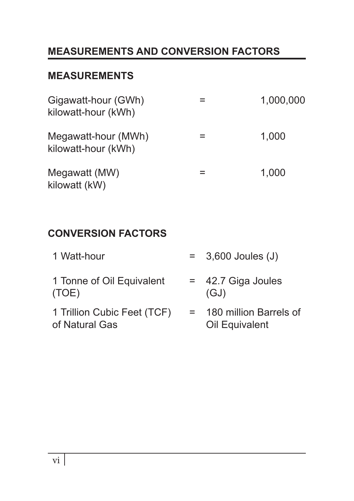# **MEASUREMENTS AND CONVERSION FACTORS**

#### **MEASUREMENTS**

| Gigawatt-hour (GWh)<br>kilowatt-hour (kWh) | 1,000,000 |
|--------------------------------------------|-----------|
| Megawatt-hour (MWh)<br>kilowatt-hour (kWh) | 1,000     |
| Megawatt (MW)<br>kilowatt (kW)             | 1,000     |

## **CONVERSION FACTORS**

| 1 Watt-hour                                   | $= 3,600$ Joules (J)                     |
|-----------------------------------------------|------------------------------------------|
| 1 Tonne of Oil Equivalent<br>(TOE)            | $=$ 42.7 Giga Joules<br>(GJ)             |
| 1 Trillion Cubic Feet (TCF)<br>of Natural Gas | 180 million Barrels of<br>Oil Equivalent |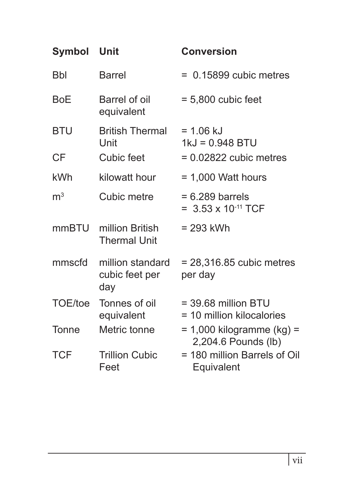| Symbol Unit             |                                              | <b>Conversion</b>                                            |
|-------------------------|----------------------------------------------|--------------------------------------------------------------|
| <b>Bbl</b>              | <b>Barrel</b>                                | $= 0.15899$ cubic metres                                     |
| <b>BoE</b>              | Barrel of oil<br>equivalent                  | $= 5,800$ cubic feet                                         |
| <b>BTU</b><br><b>CF</b> | <b>British Thermal</b><br>Unit<br>Cubic feet | $= 1.06$ kJ<br>$1kJ = 0.948$ BTU<br>$= 0.02822$ cubic metres |
|                         |                                              |                                                              |
| kWh                     | kilowatt hour                                | $= 1,000$ Watt hours                                         |
| m <sup>3</sup>          | Cubic metre                                  | $= 6.289$ barrels<br>= $3.53 \times 10^{-11}$ TCF            |
| mmBTU                   | million British<br><b>Thermal Unit</b>       | $= 293$ kWh                                                  |
| mmscfd                  | million standard<br>cubic feet per<br>day    | $= 28,316.85$ cubic metres<br>per day                        |
| TOE/toe                 | Tonnes of oil<br>equivalent                  | $=$ 39.68 million BTU<br>= 10 million kilocalories           |
| Tonne                   | Metric tonne                                 | $= 1,000$ kilogramme (kg) $=$<br>2,204.6 Pounds (lb)         |
| <b>TCF</b>              | <b>Trillion Cubic</b><br>Feet                | = 180 million Barrels of Oil<br>Equivalent                   |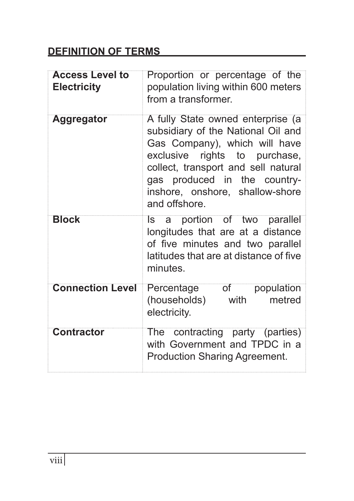#### **DEFINITION OF TERMS**

| <b>Access Level to</b><br><b>Electricity</b> | Proportion or percentage of the<br>population living within 600 meters<br>from a transformer.                                                                                                                                                                        |
|----------------------------------------------|----------------------------------------------------------------------------------------------------------------------------------------------------------------------------------------------------------------------------------------------------------------------|
| <b>Aggregator</b>                            | A fully State owned enterprise (a<br>subsidiary of the National Oil and<br>Gas Company), which will have<br>exclusive rights to purchase,<br>collect, transport and sell natural<br>gas produced in the country-<br>inshore, onshore, shallow-shore<br>and offshore. |
| <b>Block</b>                                 | Is a portion of two parallel<br>longitudes that are at a distance<br>of five minutes and two parallel<br>latitudes that are at distance of five<br>minutes.                                                                                                          |
| <b>Connection Level</b>                      | $\overline{\text{of}}$<br>Percentage<br>population<br>(households)<br>metred<br>with<br>electricity.                                                                                                                                                                 |
| <b>Contractor</b>                            | The contracting party (parties)<br>with Government and TPDC in a<br><b>Production Sharing Agreement.</b>                                                                                                                                                             |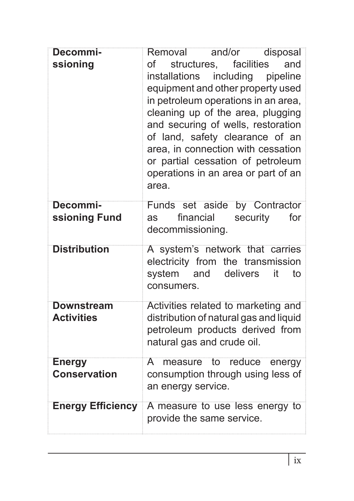| Decommi-                               | and/or<br>Removal<br>disposal                                                                                                                                                                                                                                                                                                                                                                      |  |
|----------------------------------------|----------------------------------------------------------------------------------------------------------------------------------------------------------------------------------------------------------------------------------------------------------------------------------------------------------------------------------------------------------------------------------------------------|--|
| ssioning                               | of<br>structures, facilities<br>and<br>installations<br>including<br>pipeline<br>equipment and other property used<br>in petroleum operations in an area,<br>cleaning up of the area, plugging<br>and securing of wells, restoration<br>of land, safety clearance of an<br>area, in connection with cessation<br>or partial cessation of petroleum<br>operations in an area or part of an<br>area. |  |
| Decommi-                               | Funds set aside by Contractor                                                                                                                                                                                                                                                                                                                                                                      |  |
| ssioning Fund                          | financial<br>security<br>for<br>as<br>decommissioning.                                                                                                                                                                                                                                                                                                                                             |  |
| <b>Distribution</b>                    | A system's network that carries<br>electricity from the transmission<br>system<br>and<br>delivers<br>to<br>it<br>consumers.                                                                                                                                                                                                                                                                        |  |
| <b>Downstream</b><br><b>Activities</b> | Activities related to marketing and<br>distribution of natural gas and liquid<br>petroleum products derived from<br>natural gas and crude oil.                                                                                                                                                                                                                                                     |  |
| <b>Energy</b><br><b>Conservation</b>   | A measure to reduce<br>energy<br>consumption through using less of<br>an energy service.                                                                                                                                                                                                                                                                                                           |  |
| <b>Energy Efficiency</b>               | A measure to use less energy to<br>provide the same service.                                                                                                                                                                                                                                                                                                                                       |  |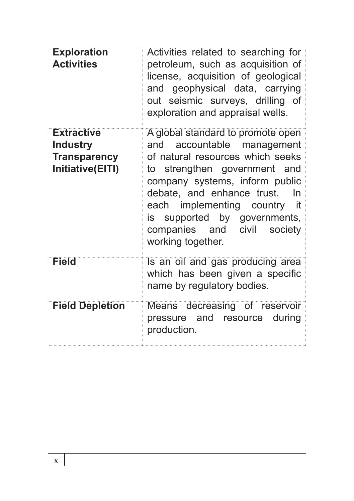| <b>Exploration</b><br><b>Activities</b>                                         | Activities related to searching for<br>petroleum, such as acquisition of<br>license, acquisition of geological<br>and geophysical data, carrying<br>out seismic surveys, drilling of<br>exploration and appraisal wells.                                                                                                                |
|---------------------------------------------------------------------------------|-----------------------------------------------------------------------------------------------------------------------------------------------------------------------------------------------------------------------------------------------------------------------------------------------------------------------------------------|
| <b>Extractive</b><br><b>Industry</b><br><b>Transparency</b><br>Initiative(EITI) | A global standard to promote open<br>accountable management<br>and<br>of natural resources which seeks<br>to strengthen government and<br>company systems, inform public<br>debate, and enhance trust.<br><b>In</b><br>each implementing country it<br>is supported by governments,<br>companies and civil society<br>working together. |
| <b>Field</b>                                                                    | Is an oil and gas producing area<br>which has been given a specific<br>name by regulatory bodies.                                                                                                                                                                                                                                       |
| <b>Field Depletion</b>                                                          | Means decreasing of reservoir<br>pressure and resource during<br>production.                                                                                                                                                                                                                                                            |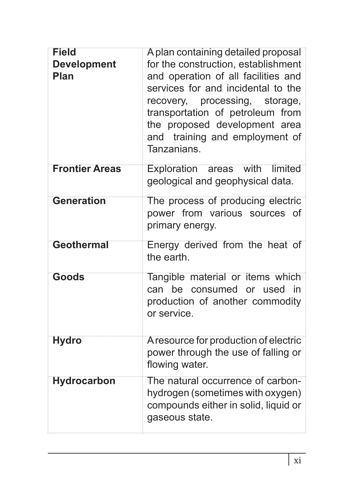| <b>Field</b><br><b>Development</b><br>Plan | A plan containing detailed proposal<br>for the construction, establishment<br>and operation of all facilities and<br>services for and incidental to the<br>recovery, processing, storage,<br>transportation of petroleum from<br>the proposed development area<br>and training and employment of<br>Tanzanians. |
|--------------------------------------------|-----------------------------------------------------------------------------------------------------------------------------------------------------------------------------------------------------------------------------------------------------------------------------------------------------------------|
| <b>Frontier Areas</b>                      | Exploration areas<br>with<br>limited<br>geological and geophysical data.                                                                                                                                                                                                                                        |
| <b>Generation</b>                          | The process of producing electric<br>power from various sources of<br>primary energy.                                                                                                                                                                                                                           |
| <b>Geothermal</b>                          | Energy derived from the heat of<br>the earth.                                                                                                                                                                                                                                                                   |
| <b>Goods</b>                               | Tangible material or items which<br>can be consumed or used<br>- in<br>production of another commodity<br>or service.                                                                                                                                                                                           |
| <b>Hydro</b>                               | A resource for production of electric<br>power through the use of falling or<br>flowing water.                                                                                                                                                                                                                  |
| <b>Hydrocarbon</b>                         | The natural occurrence of carbon-<br>hydrogen (sometimes with oxygen)<br>compounds either in solid, liquid or<br>gaseous state.                                                                                                                                                                                 |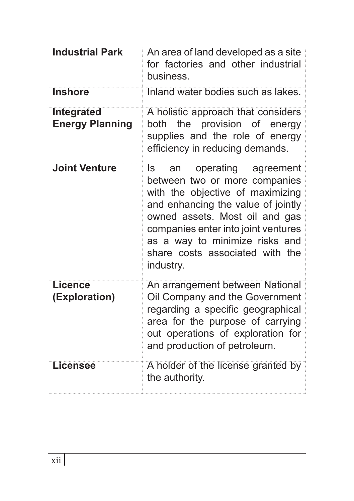| <b>Industrial Park</b>                      | An area of land developed as a site<br>for factories and other industrial<br>business.                                                                                                                                                                                                                |
|---------------------------------------------|-------------------------------------------------------------------------------------------------------------------------------------------------------------------------------------------------------------------------------------------------------------------------------------------------------|
| <b>Inshore</b>                              | Inland water bodies such as lakes.                                                                                                                                                                                                                                                                    |
| <b>Integrated</b><br><b>Energy Planning</b> | A holistic approach that considers<br>both the provision of energy<br>supplies and the role of energy<br>efficiency in reducing demands.                                                                                                                                                              |
| <b>Joint Venture</b>                        | operating agreement<br>ls<br>an<br>between two or more companies<br>with the objective of maximizing<br>and enhancing the value of jointly<br>owned assets. Most oil and gas<br>companies enter into joint ventures<br>as a way to minimize risks and<br>share costs associated with the<br>industry. |
| <b>Licence</b><br>(Exploration)             | An arrangement between National<br>Oil Company and the Government<br>regarding a specific geographical<br>area for the purpose of carrying<br>out operations of exploration for<br>and production of petroleum.                                                                                       |
| Licensee                                    | A holder of the license granted by<br>the authority.                                                                                                                                                                                                                                                  |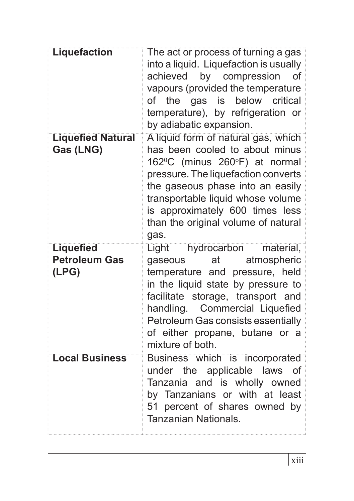| <b>Liquefaction</b>                               | The act or process of turning a gas<br>into a liquid. Liquefaction is usually<br>achieved by compression<br>οf<br>vapours (provided the temperature<br>below<br>the gas is<br>critical<br>of<br>temperature), by refrigeration or<br>by adiabatic expansion.                                                              |
|---------------------------------------------------|---------------------------------------------------------------------------------------------------------------------------------------------------------------------------------------------------------------------------------------------------------------------------------------------------------------------------|
| <b>Liquefied Natural</b><br>Gas (LNG)             | A liquid form of natural gas, which<br>has been cooled to about minus<br>162°C (minus 260°F) at normal<br>pressure. The liquefaction converts<br>the gaseous phase into an easily<br>transportable liquid whose volume<br>is approximately 600 times less<br>than the original volume of natural<br>gas.                  |
| <b>Liquefied</b><br><b>Petroleum Gas</b><br>(LPG) | hydrocarbon<br>Light <sup>"</sup><br>material,<br>gaseous<br>at<br>atmospheric<br>temperature and pressure, held<br>in the liquid state by pressure to<br>facilitate storage, transport and<br>handling. Commercial Liquefied<br>Petroleum Gas consists essentially<br>of either propane, butane or a<br>mixture of both. |
| <b>Local Business</b>                             | Business which is incorporated<br>the applicable laws<br>under<br>Οf<br>Tanzania and is wholly owned<br>by Tanzanians or with at least<br>51 percent of shares owned by<br>Tanzanian Nationals.                                                                                                                           |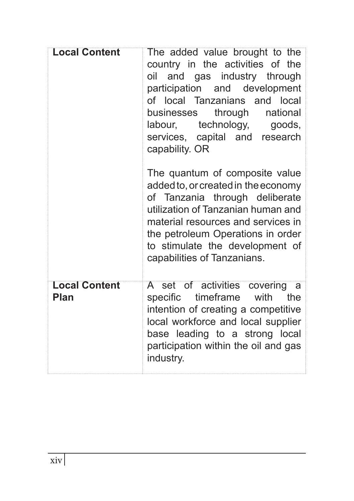| <b>Local Content</b>         | The added value brought to the<br>country in the activities of the<br>oil and gas industry through<br>participation and development<br>of local Tanzanians and local<br>through<br>national<br>businesses<br>labour, technology,<br>goods,<br>services, capital and research<br>capability. OR |
|------------------------------|------------------------------------------------------------------------------------------------------------------------------------------------------------------------------------------------------------------------------------------------------------------------------------------------|
|                              | The quantum of composite value<br>added to, or created in the economy<br>of Tanzania through deliberate<br>utilization of Tanzanian human and<br>material resources and services in<br>the petroleum Operations in order<br>to stimulate the development of<br>capabilities of Tanzanians.     |
| <b>Local Content</b><br>Plan | A set of activities covering a<br>timeframe with<br>the<br>specific<br>intention of creating a competitive<br>local workforce and local supplier<br>base leading to a strong local<br>participation within the oil and gas<br>industry.                                                        |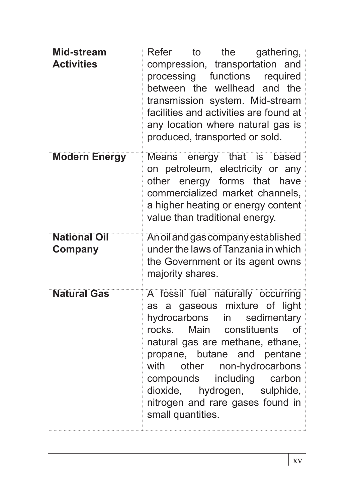| <b>Mid-stream</b><br><b>Activities</b> | Refer<br>the<br>gathering,<br>to<br>compression, transportation and<br>processing functions required<br>between the wellhead and the<br>transmission system. Mid-stream<br>facilities and activities are found at<br>any location where natural gas is<br>produced, transported or sold.                                                                                           |
|----------------------------------------|------------------------------------------------------------------------------------------------------------------------------------------------------------------------------------------------------------------------------------------------------------------------------------------------------------------------------------------------------------------------------------|
| <b>Modern Energy</b>                   | Means energy that is based<br>on petroleum, electricity or any<br>other energy forms that<br>have<br>commercialized market channels,<br>a higher heating or energy content<br>value than traditional energy.                                                                                                                                                                       |
| <b>National Oil</b><br>Company         | An oil and gas company established<br>under the laws of Tanzania in which<br>the Government or its agent owns<br>majority shares.                                                                                                                                                                                                                                                  |
| <b>Natural Gas</b>                     | A fossil fuel naturally occurring<br>as a gaseous mixture of light<br>hydrocarbons in<br>sedimentary<br>rocks. Main<br>constituents<br><b>of</b><br>natural gas are methane, ethane,<br>propane, butane and pentane<br>with<br>other non-hydrocarbons<br>including<br>compounds<br>carbon<br>dioxide, hydrogen, sulphide,<br>nitrogen and rare gases found in<br>small quantities. |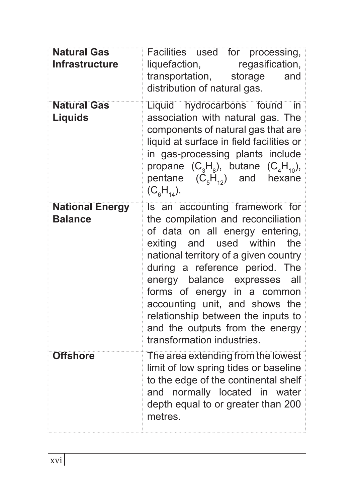| <b>Natural Gas</b><br><b>Infrastructure</b> | Facilities used for processing,<br>regasification,<br>liquefaction,<br>transportation,<br>storage<br>and<br>distribution of natural gas.                                                                                                                                                                                                                                                                                                 |
|---------------------------------------------|------------------------------------------------------------------------------------------------------------------------------------------------------------------------------------------------------------------------------------------------------------------------------------------------------------------------------------------------------------------------------------------------------------------------------------------|
| <b>Natural Gas</b><br>Liquids               | Liquid hydrocarbons found<br>-in<br>association with natural gas. The<br>components of natural gas that are<br>liquid at surface in field facilities or<br>in gas-processing plants include<br>propane $(C_3H_8)$ , butane $(C_4H_{10})$ ,<br>pentane $(C_5H_{12})$ and<br>hexane<br>$(C_{6}H_{14}).$                                                                                                                                    |
| <b>National Energy</b><br><b>Balance</b>    | Is an accounting framework for<br>the compilation and reconciliation<br>of data on all energy entering,<br>used<br>within<br>the<br>exiting<br>and<br>national territory of a given country<br>during a reference period. The<br>energy balance expresses<br>all<br>forms of energy in a common<br>accounting unit, and shows the<br>relationship between the inputs to<br>and the outputs from the energy<br>transformation industries. |
| <b>Offshore</b>                             | The area extending from the lowest<br>limit of low spring tides or baseline<br>to the edge of the continental shelf<br>and normally located in water<br>depth equal to or greater than 200<br>metres.                                                                                                                                                                                                                                    |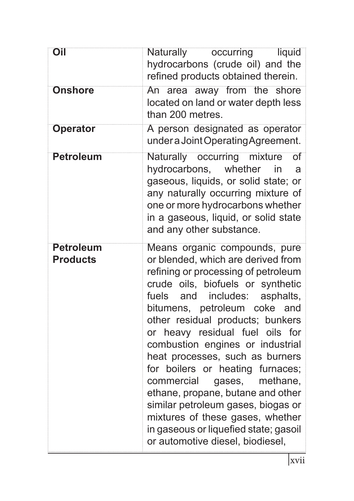| Oil                                 | <b>Naturally</b><br>occurring<br>liquid<br>hydrocarbons (crude oil) and the<br>refined products obtained therein.                                                                                                                                                                                                                                                                                                                                                                                                                                                                                                                                       |
|-------------------------------------|---------------------------------------------------------------------------------------------------------------------------------------------------------------------------------------------------------------------------------------------------------------------------------------------------------------------------------------------------------------------------------------------------------------------------------------------------------------------------------------------------------------------------------------------------------------------------------------------------------------------------------------------------------|
| <b>Onshore</b>                      | An area away from the shore<br>located on land or water depth less<br>than 200 metres.                                                                                                                                                                                                                                                                                                                                                                                                                                                                                                                                                                  |
| <b>Operator</b>                     | A person designated as operator<br>under a Joint Operating Agreement.                                                                                                                                                                                                                                                                                                                                                                                                                                                                                                                                                                                   |
| <b>Petroleum</b>                    | mixture<br>occurring<br><b>Naturally</b><br>$\overline{\text{of}}$<br>hydrocarbons, whether<br>in<br>a<br>gaseous, liquids, or solid state; or<br>any naturally occurring mixture of<br>one or more hydrocarbons whether<br>in a gaseous, liquid, or solid state<br>and any other substance.                                                                                                                                                                                                                                                                                                                                                            |
| <b>Petroleum</b><br><b>Products</b> | Means organic compounds, pure<br>or blended, which are derived from<br>refining or processing of petroleum<br>crude oils, biofuels or synthetic<br>includes:<br>fuels<br>and<br>asphalts,<br>petroleum coke<br>bitumens,<br>and<br>other residual products; bunkers<br>heavy residual fuel oils<br>for<br>or<br>combustion engines or industrial<br>heat processes, such as burners<br>for boilers or heating furnaces;<br>commercial<br>gases,<br>methane,<br>ethane, propane, butane and other<br>similar petroleum gases, biogas or<br>mixtures of these gases, whether<br>in gaseous or liquefied state; gasoil<br>or automotive diesel, biodiesel, |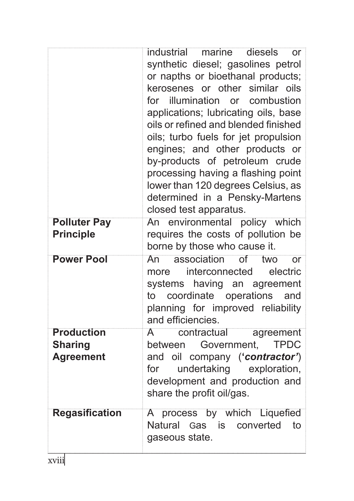|                                         | industrial<br>diesels<br>marine<br>or<br>synthetic diesel; gasolines petrol<br>or napths or bioethanal products;<br>kerosenes or other similar oils<br>for illumination or<br>combustion<br>applications; lubricating oils, base<br>oils or refined and blended finished<br>oils; turbo fuels for jet propulsion<br>engines; and other products or<br>by-products of petroleum crude<br>processing having a flashing point<br>lower than 120 degrees Celsius, as<br>determined in a Pensky-Martens<br>closed test apparatus. |
|-----------------------------------------|------------------------------------------------------------------------------------------------------------------------------------------------------------------------------------------------------------------------------------------------------------------------------------------------------------------------------------------------------------------------------------------------------------------------------------------------------------------------------------------------------------------------------|
| <b>Polluter Pay</b><br><b>Principle</b> | An environmental policy which<br>requires the costs of pollution be<br>borne by those who cause it.                                                                                                                                                                                                                                                                                                                                                                                                                          |
| <b>Power Pool</b>                       | association<br>$\overline{of}$<br>two<br>An<br>or<br>interconnected<br>electric<br>more<br>systems<br>having an agreement<br>coordinate operations<br>to<br>and<br>planning for improved reliability<br>and efficiencies.                                                                                                                                                                                                                                                                                                    |
| <b>Production</b><br><b>Sharing</b>     | A<br>contractual<br>agreement<br>Government,<br><b>TPDC</b><br>between                                                                                                                                                                                                                                                                                                                                                                                                                                                       |
| <b>Agreement</b>                        | and oil company ('contractor')<br>undertaking exploration,<br>for<br>development and production and<br>share the profit oil/gas.                                                                                                                                                                                                                                                                                                                                                                                             |
| <b>Regasification</b>                   | A process by which Liquefied<br>Natural Gas is<br>converted<br>to<br>gaseous state.                                                                                                                                                                                                                                                                                                                                                                                                                                          |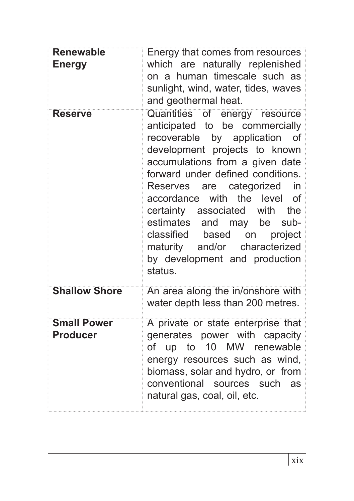| <b>Renewable</b><br><b>Energy</b>     | Energy that comes from resources<br>which are naturally replenished<br>on a human timescale such as<br>sunlight, wind, water, tides, waves<br>and geothermal heat.                                                                                                                                                                                                                                                                                                                  |
|---------------------------------------|-------------------------------------------------------------------------------------------------------------------------------------------------------------------------------------------------------------------------------------------------------------------------------------------------------------------------------------------------------------------------------------------------------------------------------------------------------------------------------------|
| <b>Reserve</b>                        | Quantities of energy resource<br>anticipated to be commercially<br>recoverable by application<br>of<br>development projects to known<br>accumulations from a given date<br>forward under defined conditions.<br>Reserves are categorized<br>in<br>the level<br>accordance with<br>οf<br>certainty associated with<br>the<br>estimates<br>and may be<br>sub-<br>classified<br>based<br>on<br>project<br>maturity and/or<br>characterized<br>by development and production<br>status. |
| <b>Shallow Shore</b>                  | An area along the in/onshore with<br>water depth less than 200 metres.                                                                                                                                                                                                                                                                                                                                                                                                              |
| <b>Small Power</b><br><b>Producer</b> | A private or state enterprise that<br>generates power with capacity<br>of up to 10 MW renewable<br>energy resources such as wind,<br>biomass, solar and hydro, or from<br>conventional sources such as<br>natural gas, coal, oil, etc.                                                                                                                                                                                                                                              |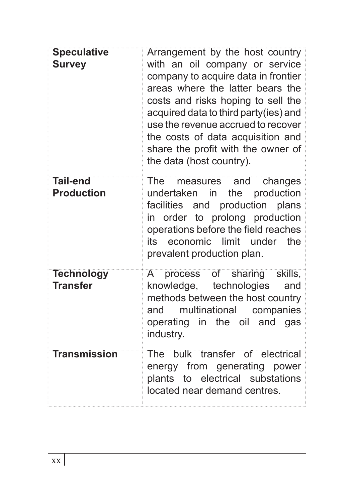| <b>Speculative</b><br><b>Survey</b>  | Arrangement by the host country<br>with an oil company or service<br>company to acquire data in frontier<br>areas where the latter bears the<br>costs and risks hoping to sell the<br>acquired data to third party(ies) and<br>use the revenue accrued to recover<br>the costs of data acquisition and<br>share the profit with the owner of<br>the data (host country). |
|--------------------------------------|--------------------------------------------------------------------------------------------------------------------------------------------------------------------------------------------------------------------------------------------------------------------------------------------------------------------------------------------------------------------------|
| <b>Tail-end</b><br><b>Production</b> | <b>The</b><br>measures and<br>changes<br>undertaken in<br>production<br>the<br>facilities and production plans<br>in order to prolong production<br>operations before the field reaches<br>economic<br>limit<br>its<br>under<br>the<br>prevalent production plan.                                                                                                        |
| <b>Technology</b><br><b>Transfer</b> | A process of sharing skills,<br>knowledge, technologies<br>and<br>methods between the host country<br>multinational<br>companies<br>and<br>operating in the oil and gas<br>industry.                                                                                                                                                                                     |
| <b>Transmission</b>                  | The bulk transfer of electrical<br>energy from generating power<br>plants to electrical substations<br>located near demand centres.                                                                                                                                                                                                                                      |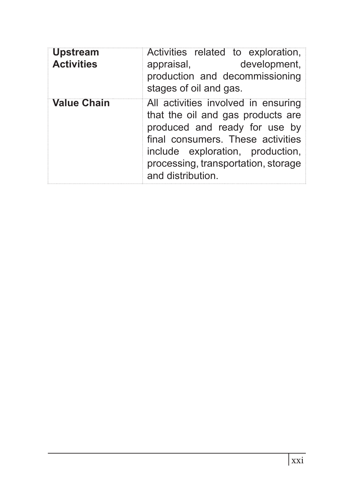| <b>Upstream</b><br><b>Activities</b> | Activities related to exploration,<br>development,<br>appraisal,<br>production and decommissioning<br>stages of oil and gas.                                                                                                                   |
|--------------------------------------|------------------------------------------------------------------------------------------------------------------------------------------------------------------------------------------------------------------------------------------------|
| <b>Value Chain</b>                   | All activities involved in ensuring<br>that the oil and gas products are<br>produced and ready for use by<br>final consumers. These activities<br>include exploration, production,<br>processing, transportation, storage<br>and distribution. |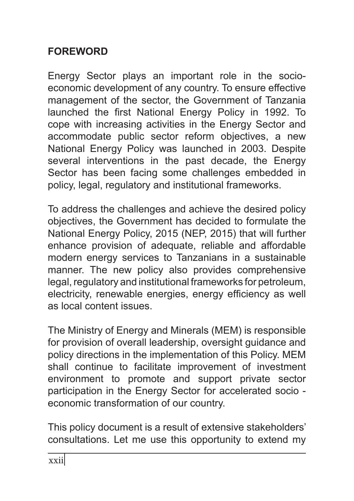# **FOREWORD**

Energy Sector plays an important role in the socioeconomic development of any country. To ensure effective management of the sector, the Government of Tanzania launched the first National Energy Policy in 1992. To cope with increasing activities in the Energy Sector and accommodate public sector reform objectives, a new National Energy Policy was launched in 2003. Despite several interventions in the past decade, the Energy Sector has been facing some challenges embedded in policy, legal, regulatory and institutional frameworks.

To address the challenges and achieve the desired policy objectives, the Government has decided to formulate the National Energy Policy, 2015 (NEP, 2015) that will further enhance provision of adequate, reliable and affordable modern energy services to Tanzanians in a sustainable manner. The new policy also provides comprehensive legal, regulatory and institutional frameworks for petroleum, electricity, renewable energies, energy efficiency as well as local content issues.

The Ministry of Energy and Minerals (MEM) is responsible for provision of overall leadership, oversight guidance and policy directions in the implementation of this Policy. MEM shall continue to facilitate improvement of investment environment to promote and support private sector participation in the Energy Sector for accelerated socio economic transformation of our country.

This policy document is a result of extensive stakeholders' consultations. Let me use this opportunity to extend my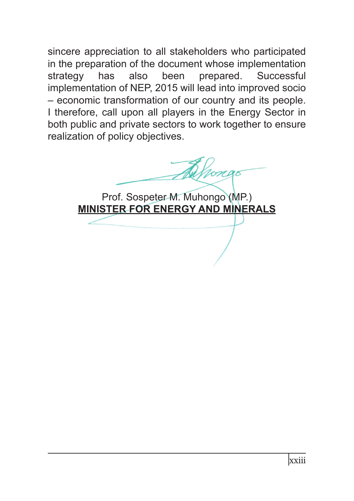sincere appreciation to all stakeholders who participated in the preparation of the document whose implementation strategy has also been prepared. Successful implementation of NEP, 2015 will lead into improved socio – economic transformation of our country and its people. I therefore, call upon all players in the Energy Sector in both public and private sectors to work together to ensure realization of policy objectives.

Alfrongo

Prof. Sospeter M. Muhongo (MP.) **MINISTER FOR ENERGY AND MINERALS**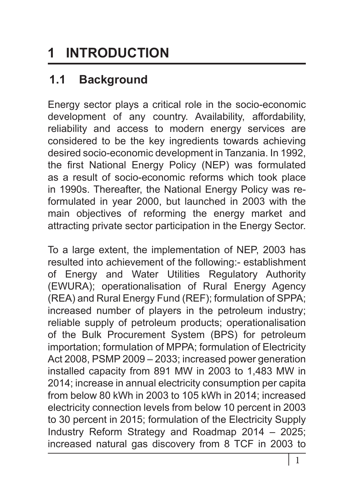# **1 INTRODUCTION**

# **1.1 Background**

Energy sector plays a critical role in the socio-economic development of any country. Availability, affordability, reliability and access to modern energy services are considered to be the key ingredients towards achieving desired socio-economic development in Tanzania. In 1992, the first National Energy Policy (NEP) was formulated as a result of socio-economic reforms which took place in 1990s. Thereafter, the National Energy Policy was reformulated in year 2000, but launched in 2003 with the main objectives of reforming the energy market and attracting private sector participation in the Energy Sector.

To a large extent, the implementation of NEP, 2003 has resulted into achievement of the following:- establishment of Energy and Water Utilities Regulatory Authority (EWURA); operationalisation of Rural Energy Agency (REA) and Rural Energy Fund (REF); formulation of SPPA; increased number of players in the petroleum industry; reliable supply of petroleum products; operationalisation of the Bulk Procurement System (BPS) for petroleum importation; formulation of MPPA; formulation of Electricity Act 2008, PSMP 2009 – 2033; increased power generation installed capacity from 891 MW in 2003 to 1,483 MW in 2014; increase in annual electricity consumption per capita from below 80 kWh in 2003 to 105 kWh in 2014; increased electricity connection levels from below 10 percent in 2003 to 30 percent in 2015; formulation of the Electricity Supply Industry Reform Strategy and Roadmap 2014 – 2025; increased natural gas discovery from 8 TCF in 2003 to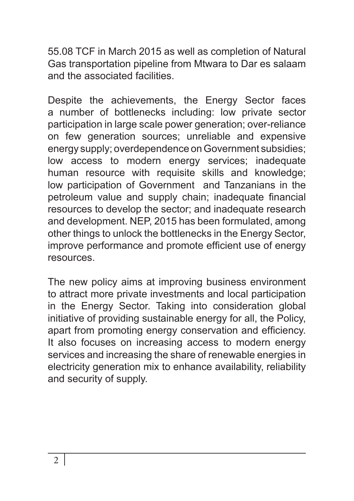55.08 TCF in March 2015 as well as completion of Natural Gas transportation pipeline from Mtwara to Dar es salaam and the associated facilities.

Despite the achievements, the Energy Sector faces a number of bottlenecks including: low private sector participation in large scale power generation; over-reliance on few generation sources; unreliable and expensive energy supply; overdependence on Government subsidies; low access to modern energy services; inadequate human resource with requisite skills and knowledge; low participation of Government and Tanzanians in the petroleum value and supply chain; inadequate financial resources to develop the sector; and inadequate research and development. NEP, 2015 has been formulated, among other things to unlock the bottlenecks in the Energy Sector, improve performance and promote efficient use of energy **resources** 

The new policy aims at improving business environment to attract more private investments and local participation in the Energy Sector. Taking into consideration global initiative of providing sustainable energy for all, the Policy, apart from promoting energy conservation and efficiency. It also focuses on increasing access to modern energy services and increasing the share of renewable energies in electricity generation mix to enhance availability, reliability and security of supply.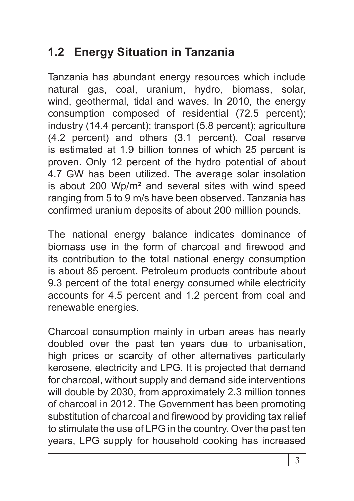# **1.2 Energy Situation in Tanzania**

Tanzania has abundant energy resources which include natural gas, coal, uranium, hydro, biomass, solar, wind, geothermal, tidal and waves. In 2010, the energy consumption composed of residential (72.5 percent); industry (14.4 percent); transport (5.8 percent); agriculture (4.2 percent) and others (3.1 percent). Coal reserve is estimated at 1.9 billion tonnes of which 25 percent is proven. Only 12 percent of the hydro potential of about 4.7 GW has been utilized. The average solar insolation is about 200 Wp/m² and several sites with wind speed ranging from 5 to 9 m/s have been observed. Tanzania has confirmed uranium deposits of about 200 million pounds.

The national energy balance indicates dominance of biomass use in the form of charcoal and firewood and its contribution to the total national energy consumption is about 85 percent. Petroleum products contribute about 9.3 percent of the total energy consumed while electricity accounts for 4.5 percent and 1.2 percent from coal and renewable energies.

Charcoal consumption mainly in urban areas has nearly doubled over the past ten years due to urbanisation, high prices or scarcity of other alternatives particularly kerosene, electricity and LPG. It is projected that demand for charcoal, without supply and demand side interventions will double by 2030, from approximately 2.3 million tonnes of charcoal in 2012. The Government has been promoting substitution of charcoal and firewood by providing tax relief to stimulate the use of LPG in the country. Over the past ten years, LPG supply for household cooking has increased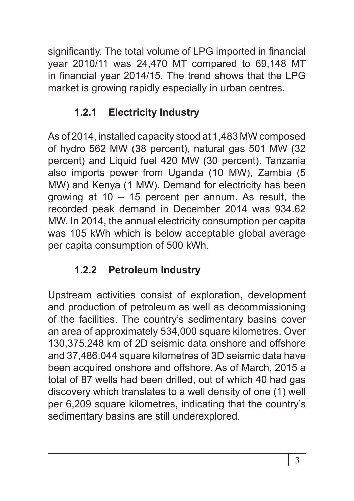significantly. The total volume of LPG imported in financial year 2010/11 was 24,470 MT compared to 69,148 MT in financial year 2014/15. The trend shows that the LPG market is growing rapidly especially in urban centres.

# **1.2.1 Electricity Industry**

As of 2014, installed capacity stood at 1,483 MW composed of hydro 562 MW (38 percent), natural gas 501 MW (32 percent) and Liquid fuel 420 MW (30 percent). Tanzania also imports power from Uganda (10 MW), Zambia (5 MW) and Kenya (1 MW). Demand for electricity has been growing at  $10 - 15$  percent per annum. As result, the recorded peak demand in December 2014 was 934.62 MW. In 2014, the annual electricity consumption per capita was 105 kWh which is below acceptable global average per capita consumption of 500 kWh.

# **1.2.2 Petroleum Industry**

Upstream activities consist of exploration, development and production of petroleum as well as decommissioning of the facilities. The country's sedimentary basins cover an area of approximately 534,000 square kilometres. Over 130,375.248 km of 2D seismic data onshore and offshore and 37,486.044 square kilometres of 3D seismic data have been acquired onshore and offshore. As of March, 2015 a total of 87 wells had been drilled, out of which 40 had gas discovery which translates to a well density of one (1) well per 6,209 square kilometres, indicating that the country's sedimentary basins are still underexplored.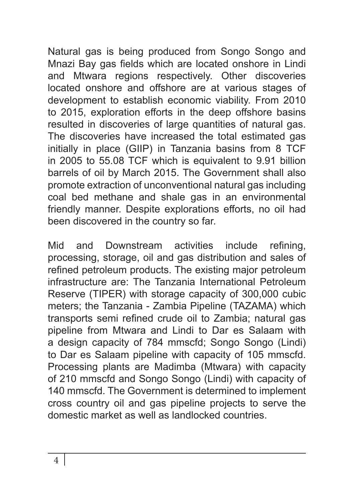Natural gas is being produced from Songo Songo and Mnazi Bay gas fields which are located onshore in Lindi and Mtwara regions respectively. Other discoveries located onshore and offshore are at various stages of development to establish economic viability. From 2010 to 2015, exploration efforts in the deep offshore basins resulted in discoveries of large quantities of natural gas. The discoveries have increased the total estimated gas initially in place (GIIP) in Tanzania basins from 8 TCF in 2005 to 55.08 TCF which is equivalent to 9.91 billion barrels of oil by March 2015. The Government shall also promote extraction of unconventional natural gas including coal bed methane and shale gas in an environmental friendly manner. Despite explorations efforts, no oil had been discovered in the country so far.

Mid and Downstream activities include refining, processing, storage, oil and gas distribution and sales of refined petroleum products. The existing major petroleum infrastructure are: The Tanzania International Petroleum Reserve (TIPER) with storage capacity of 300,000 cubic meters; the Tanzania - Zambia Pipeline (TAZAMA) which transports semi refined crude oil to Zambia; natural gas pipeline from Mtwara and Lindi to Dar es Salaam with a design capacity of 784 mmscfd; Songo Songo (Lindi) to Dar es Salaam pipeline with capacity of 105 mmscfd. Processing plants are Madimba (Mtwara) with capacity of 210 mmscfd and Songo Songo (Lindi) with capacity of 140 mmscfd. The Government is determined to implement cross country oil and gas pipeline projects to serve the domestic market as well as landlocked countries.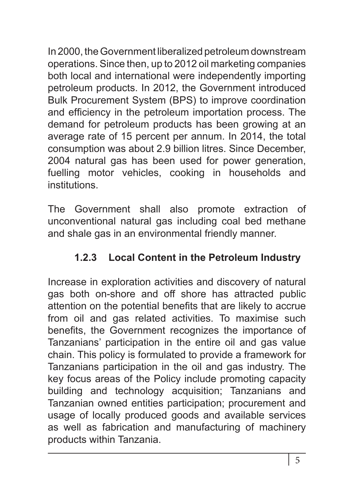In 2000, the Government liberalized petroleum downstream operations. Since then, up to 2012 oil marketing companies both local and international were independently importing petroleum products. In 2012, the Government introduced Bulk Procurement System (BPS) to improve coordination and efficiency in the petroleum importation process. The demand for petroleum products has been growing at an average rate of 15 percent per annum. In 2014, the total consumption was about 2.9 billion litres. Since December, 2004 natural gas has been used for power generation, fuelling motor vehicles, cooking in households and institutions.

The Government shall also promote extraction of unconventional natural gas including coal bed methane and shale gas in an environmental friendly manner.

# **1.2.3 Local Content in the Petroleum Industry**

Increase in exploration activities and discovery of natural gas both on-shore and off shore has attracted public attention on the potential benefits that are likely to accrue from oil and gas related activities. To maximise such benefits, the Government recognizes the importance of Tanzanians' participation in the entire oil and gas value chain. This policy is formulated to provide a framework for Tanzanians participation in the oil and gas industry. The key focus areas of the Policy include promoting capacity building and technology acquisition; Tanzanians and Tanzanian owned entities participation; procurement and usage of locally produced goods and available services as well as fabrication and manufacturing of machinery products within Tanzania.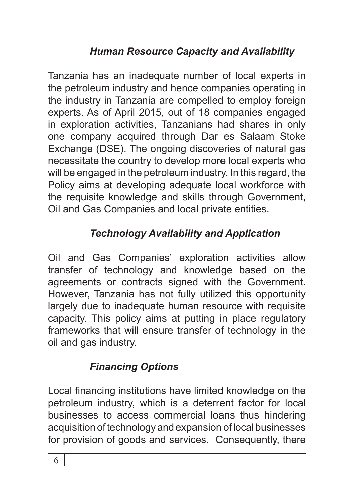# *Human Resource Capacity and Availability*

Tanzania has an inadequate number of local experts in the petroleum industry and hence companies operating in the industry in Tanzania are compelled to employ foreign experts. As of April 2015, out of 18 companies engaged in exploration activities, Tanzanians had shares in only one company acquired through Dar es Salaam Stoke Exchange (DSE). The ongoing discoveries of natural gas necessitate the country to develop more local experts who will be engaged in the petroleum industry. In this regard, the Policy aims at developing adequate local workforce with the requisite knowledge and skills through Government, Oil and Gas Companies and local private entities.

# *Technology Availability and Application*

Oil and Gas Companies' exploration activities allow transfer of technology and knowledge based on the agreements or contracts signed with the Government. However, Tanzania has not fully utilized this opportunity largely due to inadequate human resource with requisite capacity. This policy aims at putting in place regulatory frameworks that will ensure transfer of technology in the oil and gas industry.

# *Financing Options*

Local financing institutions have limited knowledge on the petroleum industry, which is a deterrent factor for local businesses to access commercial loans thus hindering acquisition of technology and expansion of local businesses for provision of goods and services. Consequently, there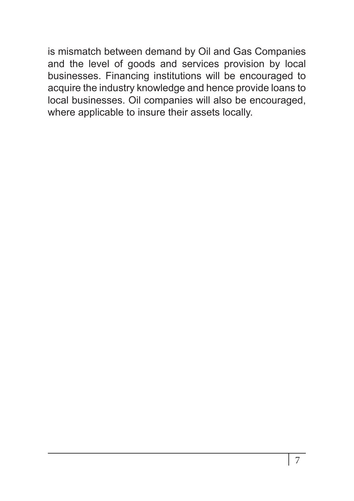is mismatch between demand by Oil and Gas Companies and the level of goods and services provision by local businesses. Financing institutions will be encouraged to acquire the industry knowledge and hence provide loans to local businesses. Oil companies will also be encouraged, where applicable to insure their assets locally.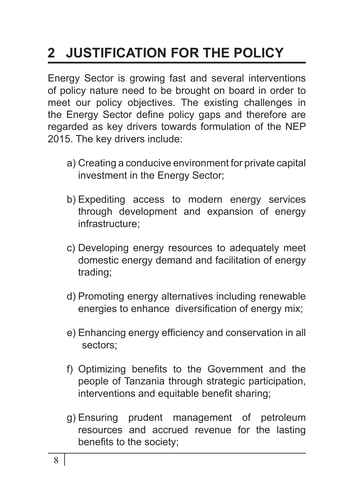# **2 JUSTIFICATION FOR THE POLICY**

Energy Sector is growing fast and several interventions of policy nature need to be brought on board in order to meet our policy objectives. The existing challenges in the Energy Sector define policy gaps and therefore are regarded as key drivers towards formulation of the NEP 2015. The key drivers include:

- a) Creating a conducive environment for private capital investment in the Energy Sector;
- b) Expediting access to modern energy services through development and expansion of energy infrastructure;
- c) Developing energy resources to adequately meet domestic energy demand and facilitation of energy trading;
- d) Promoting energy alternatives including renewable energies to enhance diversification of energy mix;
- e) Enhancing energy efficiency and conservation in all sectors;
- f) Optimizing benefits to the Government and the people of Tanzania through strategic participation, interventions and equitable benefit sharing;
- g) Ensuring prudent management of petroleum resources and accrued revenue for the lasting benefits to the society;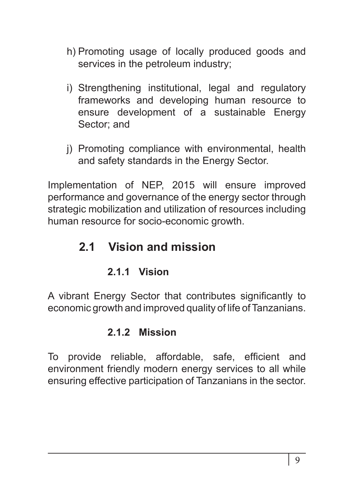- h) Promoting usage of locally produced goods and services in the petroleum industry;
- i) Strengthening institutional, legal and regulatory frameworks and developing human resource to ensure development of a sustainable Energy Sector; and
- j) Promoting compliance with environmental, health and safety standards in the Energy Sector.

Implementation of NEP, 2015 will ensure improved performance and governance of the energy sector through strategic mobilization and utilization of resources including human resource for socio-economic growth.

# **2.1 Vision and mission**

## **2.1.1 Vision**

A vibrant Energy Sector that contributes significantly to economic growth and improved quality of life of Tanzanians.

## **2.1.2 Mission**

To provide reliable, affordable, safe, efficient and environment friendly modern energy services to all while ensuring effective participation of Tanzanians in the sector.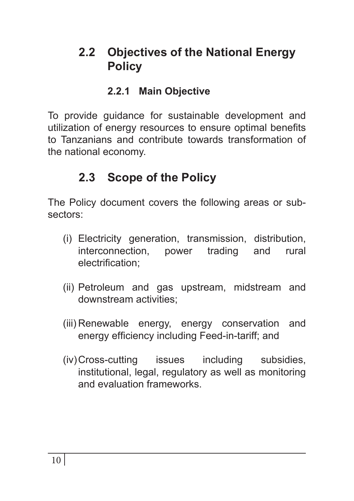# **2.2 Objectives of the National Energy Policy**

#### **2.2.1 Main Objective**

To provide guidance for sustainable development and utilization of energy resources to ensure optimal benefits to Tanzanians and contribute towards transformation of the national economy.

# **2.3 Scope of the Policy**

The Policy document covers the following areas or subsectors:

- (i) Electricity generation, transmission, distribution, interconnection, power trading and rural electrification;
- (ii) Petroleum and gas upstream, midstream and downstream activities;
- (iii) Renewable energy, energy conservation and energy efficiency including Feed-in-tariff; and
- (iv)Cross-cutting issues including subsidies, institutional, legal, regulatory as well as monitoring and evaluation frameworks.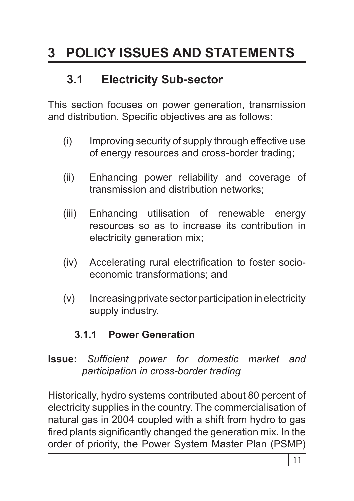# **3 POLICY ISSUES AND STATEMENTS**

# **3.1 Electricity Sub-sector**

This section focuses on power generation, transmission and distribution. Specific objectives are as follows:

- (i) Improving security of supply through effective use of energy resources and cross-border trading;
- (ii) Enhancing power reliability and coverage of transmission and distribution networks;
- (iii) Enhancing utilisation of renewable energy resources so as to increase its contribution in electricity generation mix;
- (iv) Accelerating rural electrification to foster socioeconomic transformations; and
- (v) Increasing private sector participation in electricity supply industry.

#### **3.1.1 Power Generation**

#### **Issue:** *Sufficient power for domestic market and participation in cross-border trading*

Historically, hydro systems contributed about 80 percent of electricity supplies in the country. The commercialisation of natural gas in 2004 coupled with a shift from hydro to gas fired plants significantly changed the generation mix. In the order of priority, the Power System Master Plan (PSMP)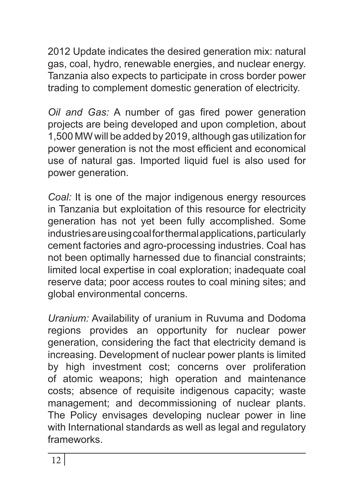2012 Update indicates the desired generation mix: natural gas, coal, hydro, renewable energies, and nuclear energy. Tanzania also expects to participate in cross border power trading to complement domestic generation of electricity.

*Oil and Gas:* A number of gas fired power generation projects are being developed and upon completion, about 1,500 MW will be added by 2019, although gas utilization for power generation is not the most efficient and economical use of natural gas. Imported liquid fuel is also used for power generation.

*Coal:* It is one of the major indigenous energy resources in Tanzania but exploitation of this resource for electricity generation has not yet been fully accomplished. Some industries are using coal for thermal applications, particularly cement factories and agro-processing industries. Coal has not been optimally harnessed due to financial constraints; limited local expertise in coal exploration; inadequate coal reserve data; poor access routes to coal mining sites; and global environmental concerns.

*Uranium:* Availability of uranium in Ruvuma and Dodoma regions provides an opportunity for nuclear power generation, considering the fact that electricity demand is increasing. Development of nuclear power plants is limited by high investment cost; concerns over proliferation of atomic weapons; high operation and maintenance costs; absence of requisite indigenous capacity; waste management; and decommissioning of nuclear plants. The Policy envisages developing nuclear power in line with International standards as well as legal and regulatory frameworks.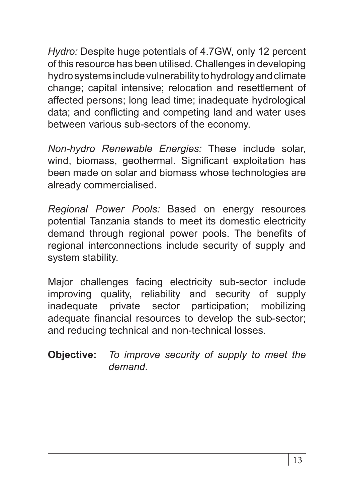*Hydro:* Despite huge potentials of 4.7GW, only 12 percent of this resource has been utilised. Challenges in developing hydro systems include vulnerability to hydrology and climate change; capital intensive; relocation and resettlement of affected persons; long lead time; inadequate hydrological data; and conflicting and competing land and water uses between various sub-sectors of the economy.

*Non-hydro Renewable Energies:* These include solar, wind, biomass, geothermal. Significant exploitation has been made on solar and biomass whose technologies are already commercialised.

*Regional Power Pools:* Based on energy resources potential Tanzania stands to meet its domestic electricity demand through regional power pools. The benefits of regional interconnections include security of supply and system stability.

Major challenges facing electricity sub-sector include improving quality, reliability and security of supply inadequate private sector participation; mobilizing adequate financial resources to develop the sub-sector; and reducing technical and non-technical losses.

**Objective:** *To improve security of supply to meet the demand.*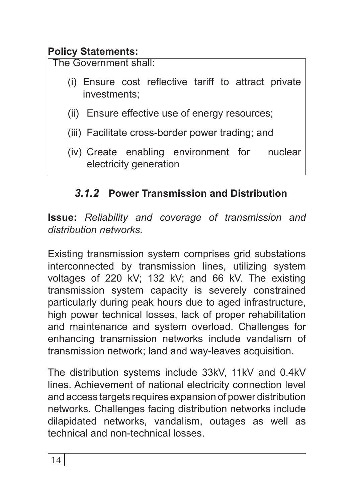# **Policy Statements:**

The Government shall:

- (i) Ensure cost reflective tariff to attract private investments;
- (ii) Ensure effective use of energy resources;
- (iii) Facilitate cross-border power trading; and
- (iv) Create enabling environment for nuclear electricity generation

# *3.1.2* **Power Transmission and Distribution**

**Issue:** *Reliability and coverage of transmission and distribution networks.*

Existing transmission system comprises grid substations interconnected by transmission lines, utilizing system voltages of 220 kV; 132 kV; and 66 kV. The existing transmission system capacity is severely constrained particularly during peak hours due to aged infrastructure, high power technical losses, lack of proper rehabilitation and maintenance and system overload. Challenges for enhancing transmission networks include vandalism of transmission network; land and way-leaves acquisition.

The distribution systems include 33kV, 11kV and 0.4kV lines. Achievement of national electricity connection level and access targets requires expansion of power distribution networks. Challenges facing distribution networks include dilapidated networks, vandalism, outages as well as technical and non-technical losses.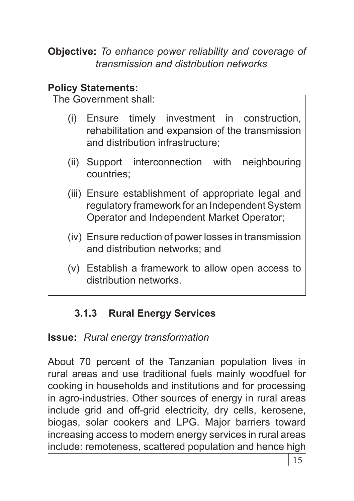**Objective:** *To enhance power reliability and coverage of transmission and distribution networks*

## **Policy Statements:**

The Government shall:

- (i) Ensure timely investment in construction, rehabilitation and expansion of the transmission and distribution infrastructure;
- (ii) Support interconnection with neighbouring countries;
- (iii) Ensure establishment of appropriate legal and regulatory framework for an Independent System Operator and Independent Market Operator;
- (iv) Ensure reduction of power losses in transmission and distribution networks; and
- (v) Establish a framework to allow open access to distribution networks.

# **3.1.3 Rural Energy Services**

# **Issue:** *Rural energy transformation*

About 70 percent of the Tanzanian population lives in rural areas and use traditional fuels mainly woodfuel for cooking in households and institutions and for processing in agro-industries. Other sources of energy in rural areas include grid and off-grid electricity, dry cells, kerosene, biogas, solar cookers and LPG. Major barriers toward increasing access to modern energy services in rural areas include: remoteness, scattered population and hence high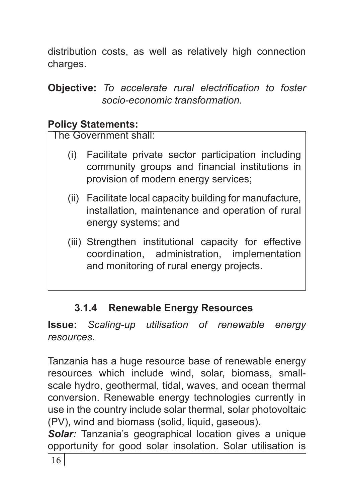distribution costs, as well as relatively high connection charges.

**Objective:** *To accelerate rural electrification to foster socio-economic transformation.*

#### **Policy Statements:**

The Government shall:

- (i) Facilitate private sector participation including community groups and financial institutions in provision of modern energy services;
- (ii) Facilitate local capacity building for manufacture, installation, maintenance and operation of rural energy systems; and
- (iii) Strengthen institutional capacity for effective coordination, administration, implementation and monitoring of rural energy projects.

# **3.1.4 Renewable Energy Resources**

**Issue:** *Scaling-up utilisation of renewable energy resources.*

Tanzania has a huge resource base of renewable energy resources which include wind, solar, biomass, smallscale hydro, geothermal, tidal, waves, and ocean thermal conversion. Renewable energy technologies currently in use in the country include solar thermal, solar photovoltaic (PV), wind and biomass (solid, liquid, gaseous).

*Solar:* Tanzania's geographical location gives a unique opportunity for good solar insolation. Solar utilisation is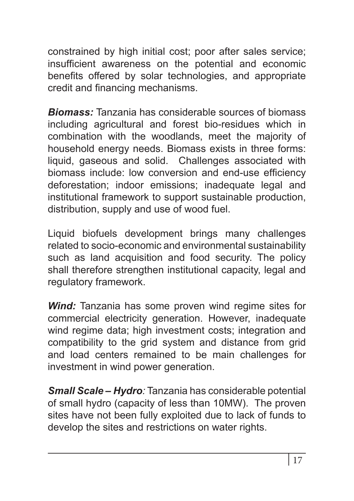constrained by high initial cost; poor after sales service; insufficient awareness on the potential and economic benefits offered by solar technologies, and appropriate credit and financing mechanisms.

*Biomass:* Tanzania has considerable sources of biomass including agricultural and forest bio-residues which in combination with the woodlands, meet the majority of household energy needs. Biomass exists in three forms: liquid, gaseous and solid. Challenges associated with biomass include: low conversion and end-use efficiency deforestation; indoor emissions; inadequate legal and institutional framework to support sustainable production, distribution, supply and use of wood fuel.

Liquid biofuels development brings many challenges related to socio-economic and environmental sustainability such as land acquisition and food security. The policy shall therefore strengthen institutional capacity, legal and regulatory framework.

*Wind:* Tanzania has some proven wind regime sites for commercial electricity generation. However, inadequate wind regime data; high investment costs; integration and compatibility to the grid system and distance from grid and load centers remained to be main challenges for investment in wind power generation.

*Small Scale – Hydro:* Tanzania has considerable potential of small hydro (capacity of less than 10MW). The proven sites have not been fully exploited due to lack of funds to develop the sites and restrictions on water rights.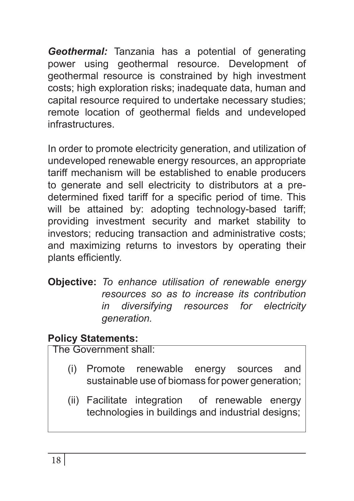*Geothermal:* Tanzania has a potential of generating power using geothermal resource. Development of geothermal resource is constrained by high investment costs; high exploration risks; inadequate data, human and capital resource required to undertake necessary studies; remote location of geothermal fields and undeveloped infrastructures.

In order to promote electricity generation, and utilization of undeveloped renewable energy resources, an appropriate tariff mechanism will be established to enable producers to generate and sell electricity to distributors at a predetermined fixed tariff for a specific period of time. This will be attained by: adopting technology-based tariff; providing investment security and market stability to investors; reducing transaction and administrative costs; and maximizing returns to investors by operating their plants efficiently.

**Objective:** *To enhance utilisation of renewable energy resources so as to increase its contribution in diversifying resources for electricity generation.*

#### **Policy Statements:**

- (i) Promote renewable energy sources and sustainable use of biomass for power generation;
- (ii) Facilitate integration of renewable energy technologies in buildings and industrial designs;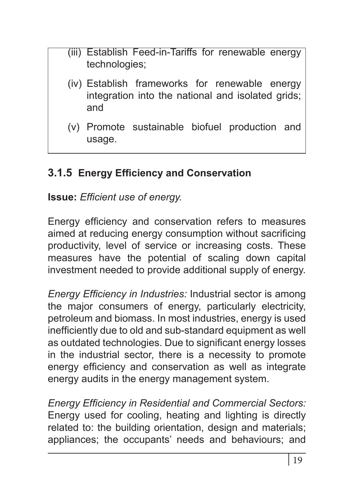- (iii) Establish Feed-in-Tariffs for renewable energy technologies;
- (iv) Establish frameworks for renewable energy integration into the national and isolated grids; and
- (v) Promote sustainable biofuel production and usage.

# **3.1.5 Energy Efficiency and Conservation**

**Issue:** *Efficient use of energy.*

Energy efficiency and conservation refers to measures aimed at reducing energy consumption without sacrificing productivity, level of service or increasing costs. These measures have the potential of scaling down capital investment needed to provide additional supply of energy.

*Energy Efficiency in Industries:* Industrial sector is among the major consumers of energy, particularly electricity, petroleum and biomass. In most industries, energy is used inefficiently due to old and sub-standard equipment as well as outdated technologies. Due to significant energy losses in the industrial sector, there is a necessity to promote energy efficiency and conservation as well as integrate energy audits in the energy management system.

*Energy Efficiency in Residential and Commercial Sectors:* Energy used for cooling, heating and lighting is directly related to: the building orientation, design and materials; appliances; the occupants' needs and behaviours; and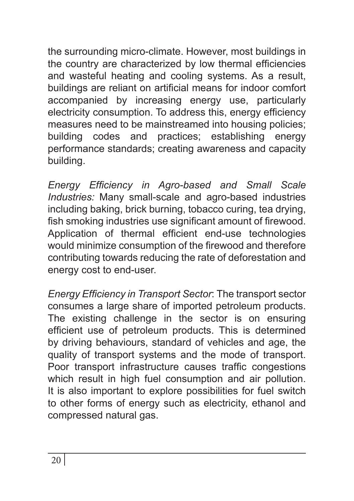the surrounding micro-climate. However, most buildings in the country are characterized by low thermal efficiencies and wasteful heating and cooling systems. As a result, buildings are reliant on artificial means for indoor comfort accompanied by increasing energy use, particularly electricity consumption. To address this, energy efficiency measures need to be mainstreamed into housing policies; building codes and practices; establishing energy performance standards; creating awareness and capacity building.

*Energy Efficiency in Agro-based and Small Scale Industries:* Many small-scale and agro-based industries including baking, brick burning, tobacco curing, tea drying, fish smoking industries use significant amount of firewood. Application of thermal efficient end-use technologies would minimize consumption of the firewood and therefore contributing towards reducing the rate of deforestation and energy cost to end-user.

*Energy Efficiency in Transport Sector*: The transport sector consumes a large share of imported petroleum products. The existing challenge in the sector is on ensuring efficient use of petroleum products. This is determined by driving behaviours, standard of vehicles and age, the quality of transport systems and the mode of transport. Poor transport infrastructure causes traffic congestions which result in high fuel consumption and air pollution. It is also important to explore possibilities for fuel switch to other forms of energy such as electricity, ethanol and compressed natural gas.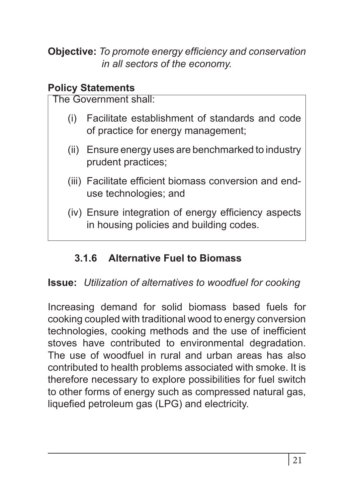**Objective:** *To promote energy efficiency and conservation in all sectors of the economy.*

#### **Policy Statements**

The Government shall:

- (i) Facilitate establishment of standards and code of practice for energy management;
- (ii) Ensure energy uses are benchmarked to industry prudent practices;
- (iii) Facilitate efficient biomass conversion and enduse technologies; and
- (iv) Ensure integration of energy efficiency aspects in housing policies and building codes.

# **3.1.6 Alternative Fuel to Biomass**

#### **Issue:** *Utilization of alternatives to woodfuel for cooking*

Increasing demand for solid biomass based fuels for cooking coupled with traditional wood to energy conversion technologies, cooking methods and the use of inefficient stoves have contributed to environmental degradation. The use of woodfuel in rural and urban areas has also contributed to health problems associated with smoke. It is therefore necessary to explore possibilities for fuel switch to other forms of energy such as compressed natural gas, liquefied petroleum gas (LPG) and electricity.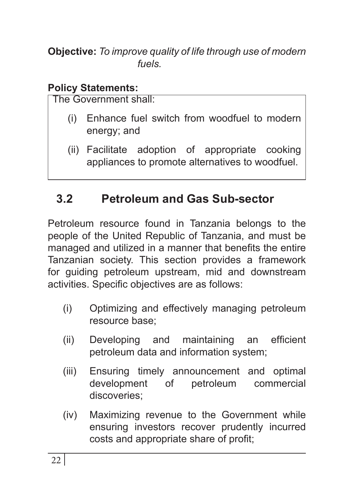**Objective:** *To improve quality of life through use of modern fuels.*

#### **Policy Statements:**

The Government shall:

- (i) Enhance fuel switch from woodfuel to modern energy; and
- (ii) Facilitate adoption of appropriate cooking appliances to promote alternatives to woodfuel.

# **3.2 Petroleum and Gas Sub-sector**

Petroleum resource found in Tanzania belongs to the people of the United Republic of Tanzania, and must be managed and utilized in a manner that benefits the entire Tanzanian society. This section provides a framework for guiding petroleum upstream, mid and downstream activities. Specific objectives are as follows:

- (i) Optimizing and effectively managing petroleum resource base;
- (ii) Developing and maintaining an efficient petroleum data and information system;
- (iii) Ensuring timely announcement and optimal development of petroleum commercial discoveries;
- (iv) Maximizing revenue to the Government while ensuring investors recover prudently incurred costs and appropriate share of profit;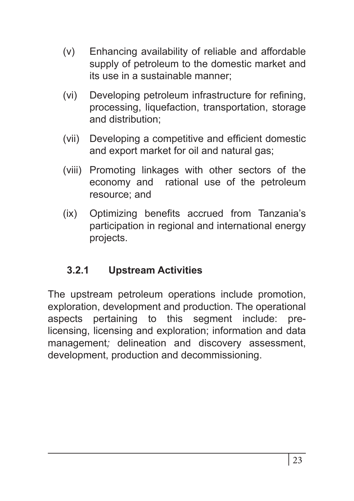- (v) Enhancing availability of reliable and affordable supply of petroleum to the domestic market and its use in a sustainable manner;
- (vi) Developing petroleum infrastructure for refining, processing, liquefaction, transportation, storage and distribution;
- (vii) Developing a competitive and efficient domestic and export market for oil and natural gas;
- (viii) Promoting linkages with other sectors of the economy and rational use of the petroleum resource; and
- (ix) Optimizing benefits accrued from Tanzania's participation in regional and international energy projects.

# **3.2.1 Upstream Activities**

The upstream petroleum operations include promotion, exploration, development and production. The operational aspects pertaining to this segment include: prelicensing, licensing and exploration; information and data management*;* delineation and discovery assessment, development, production and decommissioning.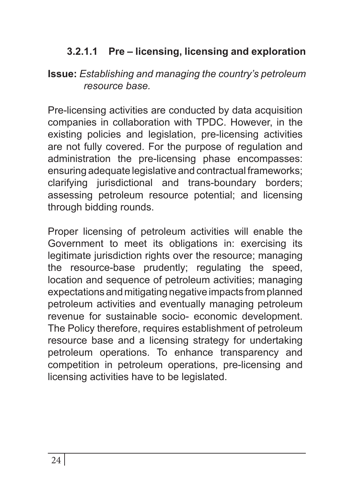## **3.2.1.1 Pre – licensing, licensing and exploration**

#### **Issue:** *Establishing and managing the country's petroleum resource base.*

Pre-licensing activities are conducted by data acquisition companies in collaboration with TPDC. However, in the existing policies and legislation, pre-licensing activities are not fully covered. For the purpose of regulation and administration the pre-licensing phase encompasses: ensuring adequate legislative and contractual frameworks; clarifying jurisdictional and trans-boundary borders; assessing petroleum resource potential; and licensing through bidding rounds.

Proper licensing of petroleum activities will enable the Government to meet its obligations in: exercising its legitimate jurisdiction rights over the resource; managing the resource-base prudently; regulating the speed, location and sequence of petroleum activities; managing expectations and mitigating negative impacts from planned petroleum activities and eventually managing petroleum revenue for sustainable socio- economic development. The Policy therefore, requires establishment of petroleum resource base and a licensing strategy for undertaking petroleum operations. To enhance transparency and competition in petroleum operations, pre-licensing and licensing activities have to be legislated.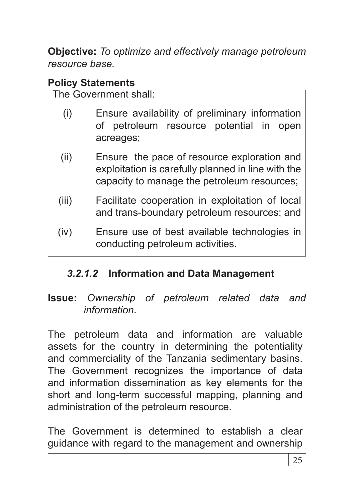**Objective:** *To optimize and effectively manage petroleum resource base.* 

#### **Policy Statements**

The Government shall:

- (i) Ensure availability of preliminary information of petroleum resource potential in open acreages;
- (ii) Ensure the pace of resource exploration and exploitation is carefully planned in line with the capacity to manage the petroleum resources;
- (iii) Facilitate cooperation in exploitation of local and trans-boundary petroleum resources; and
- (iv) Ensure use of best available technologies in conducting petroleum activities.

# *3.2.1.2* **Information and Data Management**

#### **Issue:** *Ownership of petroleum related data and information*.

The petroleum data and information are valuable assets for the country in determining the potentiality and commerciality of the Tanzania sedimentary basins. The Government recognizes the importance of data and information dissemination as key elements for the short and long-term successful mapping, planning and administration of the petroleum resource.

The Government is determined to establish a clear guidance with regard to the management and ownership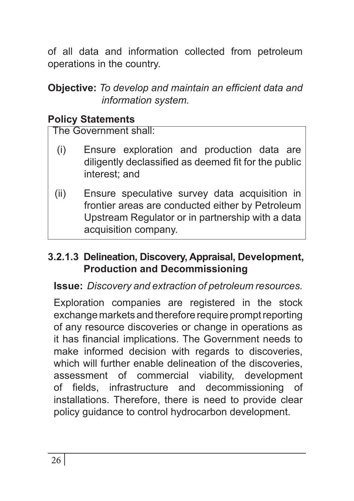of all data and information collected from petroleum operations in the country.

#### **Objective:** *To develop and maintain an efficient data and information system.*

## **Policy Statements**

The Government shall:

- (i) Ensure exploration and production data are diligently declassified as deemed fit for the public interest; and
- (ii) Ensure speculative survey data acquisition in frontier areas are conducted either by Petroleum Upstream Regulator or in partnership with a data acquisition company.

#### **3.2.1.3 Delineation, Discovery, Appraisal, Development, Production and Decommissioning**

#### **Issue:** *Discovery and extraction of petroleum resources.*

Exploration companies are registered in the stock exchange markets and therefore require prompt reporting of any resource discoveries or change in operations as it has financial implications. The Government needs to make informed decision with regards to discoveries, which will further enable delineation of the discoveries. assessment of commercial viability, development of fields, infrastructure and decommissioning of installations. Therefore, there is need to provide clear policy guidance to control hydrocarbon development.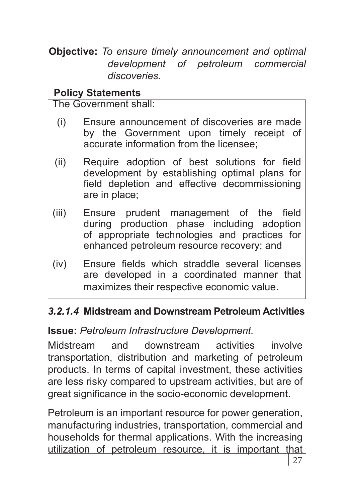**Objective:** *To ensure timely announcement and optimal*  development of petroleum *discoveries.*

#### **Policy Statements**

The Government shall:

- (i) Ensure announcement of discoveries are made by the Government upon timely receipt of accurate information from the licensee;
- (ii) Require adoption of best solutions for field development by establishing optimal plans for field depletion and effective decommissioning are in place;
- (iii) Ensure prudent management of the field during production phase including adoption of appropriate technologies and practices for enhanced petroleum resource recovery; and
- (iv) Ensure fields which straddle several licenses are developed in a coordinated manner that maximizes their respective economic value.

#### *3.2.1.4* **Midstream and Downstream Petroleum Activities**

#### **Issue:** *Petroleum Infrastructure Development.*

Midstream and downstream activities involve transportation, distribution and marketing of petroleum products. In terms of capital investment, these activities are less risky compared to upstream activities, but are of great significance in the socio-economic development.

Petroleum is an important resource for power generation, manufacturing industries, transportation, commercial and households for thermal applications. With the increasing utilization of petroleum resource, it is important that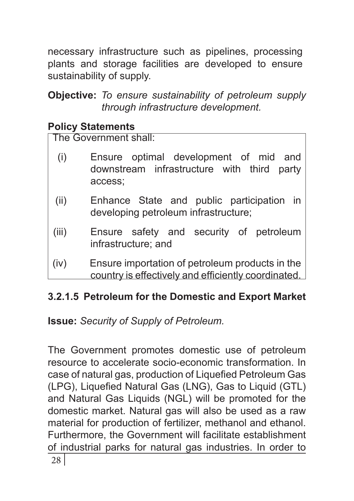necessary infrastructure such as pipelines, processing plants and storage facilities are developed to ensure sustainability of supply.

**Objective:** *To ensure sustainability of petroleum supply through infrastructure development.* 

#### **Policy Statements**

The Government shall:

- (i) Ensure optimal development of mid and downstream infrastructure with third party access;
- (ii) Enhance State and public participation in developing petroleum infrastructure;
- (iii) Ensure safety and security of petroleum infrastructure; and
- (iv) Ensure importation of petroleum products in the country is effectively and efficiently coordinated.

# **3.2.1.5 Petroleum for the Domestic and Export Market**

**Issue:** *Security of Supply of Petroleum.*

28 The Government promotes domestic use of petroleum resource to accelerate socio-economic transformation. In case of natural gas, production of Liquefied Petroleum Gas (LPG), Liquefied Natural Gas (LNG), Gas to Liquid (GTL) and Natural Gas Liquids (NGL) will be promoted for the domestic market. Natural gas will also be used as a raw material for production of fertilizer, methanol and ethanol. Furthermore, the Government will facilitate establishment of industrial parks for natural gas industries. In order to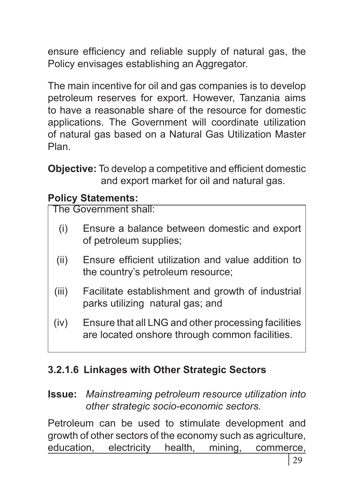ensure efficiency and reliable supply of natural gas, the Policy envisages establishing an Aggregator.

The main incentive for oil and gas companies is to develop petroleum reserves for export. However, Tanzania aims to have a reasonable share of the resource for domestic applications. The Government will coordinate utilization of natural gas based on a Natural Gas Utilization Master Plan.

**Objective:** To develop a competitive and efficient domestic and export market for oil and natural gas.

#### **Policy Statements:**

The Government shall:

- (i) Ensure a balance between domestic and export of petroleum supplies;
- (ii) Ensure efficient utilization and value addition to the country's petroleum resource;
- (iii) Facilitate establishment and growth of industrial parks utilizing natural gas; and
- (iv) Ensure that all LNG and other processing facilities are located onshore through common facilities.

# **3.2.1.6 Linkages with Other Strategic Sectors**

**Issue:** *Mainstreaming petroleum resource utilization into other strategic socio-economic sectors.*

Petroleum can be used to stimulate development and growth of other sectors of the economy such as agriculture, education, electricity health, mining, commerce,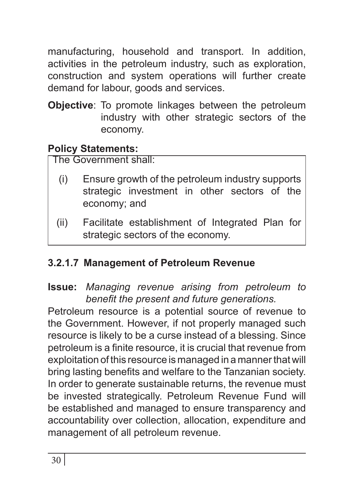manufacturing, household and transport. In addition, activities in the petroleum industry, such as exploration, construction and system operations will further create demand for labour, goods and services.

**Objective**: To promote linkages between the petroleum industry with other strategic sectors of the economy.

## **Policy Statements:**

The Government shall:

- (i) Ensure growth of the petroleum industry supports strategic investment in other sectors of the economy; and
- (ii) Facilitate establishment of Integrated Plan for strategic sectors of the economy.

# **3.2.1.7 Management of Petroleum Revenue**

#### **Issue:** *Managing revenue arising from petroleum to benefit the present and future generations.*

Petroleum resource is a potential source of revenue to the Government. However, if not properly managed such resource is likely to be a curse instead of a blessing. Since petroleum is a finite resource, it is crucial that revenue from exploitation of this resource is managed in a manner that will bring lasting benefits and welfare to the Tanzanian society. In order to generate sustainable returns, the revenue must be invested strategically. Petroleum Revenue Fund will be established and managed to ensure transparency and accountability over collection, allocation, expenditure and management of all petroleum revenue.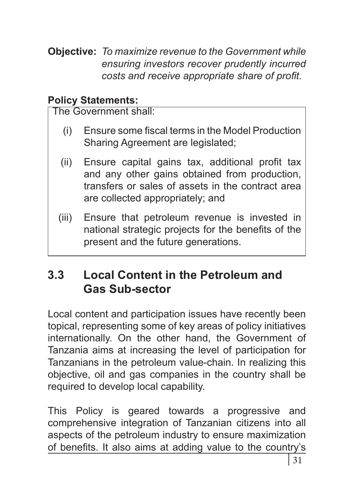**Objective:** *To maximize revenue to the Government while ensuring investors recover prudently incurred costs and receive appropriate share of profit.*

#### **Policy Statements:**

The Government shall:

- (i) Ensure some fiscal terms in the Model Production Sharing Agreement are legislated;
- (ii) Ensure capital gains tax, additional profit tax and any other gains obtained from production, transfers or sales of assets in the contract area are collected appropriately; and
- (iii) Ensure that petroleum revenue is invested in national strategic projects for the benefits of the present and the future generations.

# **3.3 Local Content in the Petroleum and Gas Sub-sector**

Local content and participation issues have recently been topical, representing some of key areas of policy initiatives internationally. On the other hand, the Government of Tanzania aims at increasing the level of participation for Tanzanians in the petroleum value-chain. In realizing this objective, oil and gas companies in the country shall be required to develop local capability.

This Policy is geared towards a progressive and comprehensive integration of Tanzanian citizens into all aspects of the petroleum industry to ensure maximization of benefits. It also aims at adding value to the country's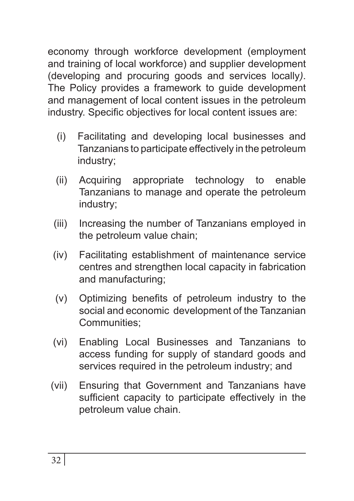economy through workforce development (employment and training of local workforce) and supplier development (developing and procuring goods and services locally*)*. The Policy provides a framework to guide development and management of local content issues in the petroleum industry. Specific objectives for local content issues are:

- (i) Facilitating and developing local businesses and Tanzanians to participate effectively in the petroleum industry;
- (ii) Acquiring appropriate technology to enable Tanzanians to manage and operate the petroleum industry;
- (iii) Increasing the number of Tanzanians employed in the petroleum value chain;
- (iv) Facilitating establishment of maintenance service centres and strengthen local capacity in fabrication and manufacturing;
- (v) Optimizing benefits of petroleum industry to the social and economic development of the Tanzanian Communities;
- (vi) Enabling Local Businesses and Tanzanians to access funding for supply of standard goods and services required in the petroleum industry; and
- (vii) Ensuring that Government and Tanzanians have sufficient capacity to participate effectively in the petroleum value chain.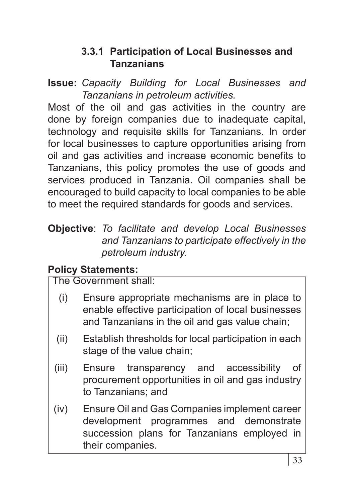#### **3.3.1 Participation of Local Businesses and Tanzanians**

**Issue:** *Capacity Building for Local Businesses and Tanzanians in petroleum activities.*

Most of the oil and gas activities in the country are done by foreign companies due to inadequate capital, technology and requisite skills for Tanzanians. In order for local businesses to capture opportunities arising from oil and gas activities and increase economic benefits to Tanzanians, this policy promotes the use of goods and services produced in Tanzania. Oil companies shall be encouraged to build capacity to local companies to be able to meet the required standards for goods and services.

**Objective**: *To facilitate and develop Local Businesses and Tanzanians to participate effectively in the petroleum industry.* 

#### **Policy Statements:**

- (i) Ensure appropriate mechanisms are in place to enable effective participation of local businesses and Tanzanians in the oil and gas value chain;
- (ii) Establish thresholds for local participation in each stage of the value chain;
- (iii) Ensure transparency and accessibility of procurement opportunities in oil and gas industry to Tanzanians; and
- (iv) Ensure Oil and Gas Companies implement career development programmes and demonstrate succession plans for Tanzanians employed in their companies.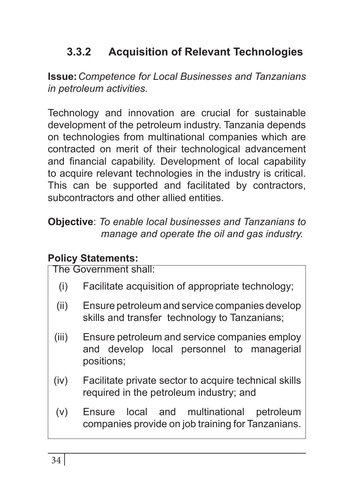# **3.3.2 Acquisition of Relevant Technologies**

**Issue:***Competence for Local Businesses and Tanzanians in petroleum activities.*

Technology and innovation are crucial for sustainable development of the petroleum industry. Tanzania depends on technologies from multinational companies which are contracted on merit of their technological advancement and financial capability. Development of local capability to acquire relevant technologies in the industry is critical. This can be supported and facilitated by contractors, subcontractors and other allied entities.

**Objective**: *To enable local businesses and Tanzanians to manage and operate the oil and gas industry.*

#### **Policy Statements:**

- (i) Facilitate acquisition of appropriate technology;
- (ii) Ensure petroleum and service companies develop skills and transfer technology to Tanzanians;
- (iii) Ensure petroleum and service companies employ and develop local personnel to managerial positions;
- (iv) Facilitate private sector to acquire technical skills required in the petroleum industry; and
- (v) Ensure local and multinational petroleum companies provide on job training for Tanzanians.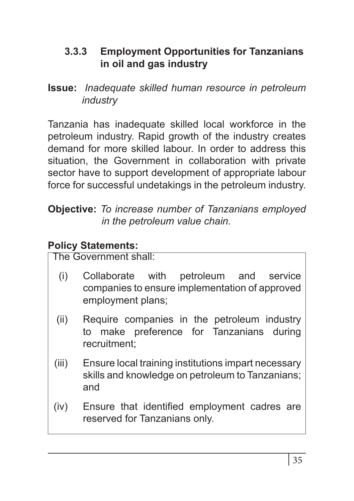### **3.3.3 Employment Opportunities for Tanzanians in oil and gas industry**

**Issue:** *Inadequate skilled human resource in petroleum industry* 

Tanzania has inadequate skilled local workforce in the petroleum industry. Rapid growth of the industry creates demand for more skilled labour. In order to address this situation, the Government in collaboration with private sector have to support development of appropriate labour force for successful undetakings in the petroleum industry.

**Objective:** *To increase number of Tanzanians employed in the petroleum value chain.*

## **Policy Statements:**

- (i) Collaborate with petroleum and service companies to ensure implementation of approved employment plans;
- (ii) Require companies in the petroleum industry to make preference for Tanzanians during recruitment;
- (iii) Ensure local training institutions impart necessary skills and knowledge on petroleum to Tanzanians; and
- (iv) Ensure that identified employment cadres are reserved for Tanzanians only.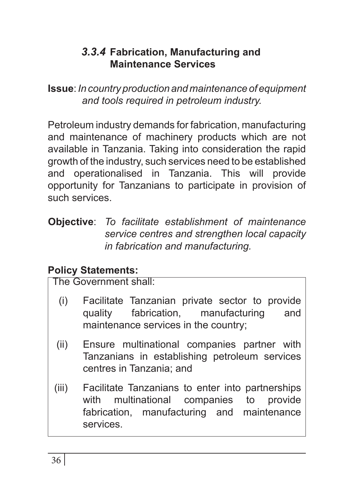## *3.3.4* **Fabrication, Manufacturing and Maintenance Services**

**Issue**: *In country production and maintenance of equipment and tools required in petroleum industry.* 

Petroleum industry demands for fabrication, manufacturing and maintenance of machinery products which are not available in Tanzania. Taking into consideration the rapid growth of the industry, such services need to be established and operationalised in Tanzania. This will provide opportunity for Tanzanians to participate in provision of such services.

**Objective**: *To facilitate establishment of maintenance service centres and strengthen local capacity in fabrication and manufacturing.*

#### **Policy Statements:**

- (i) Facilitate Tanzanian private sector to provide quality fabrication, manufacturing and maintenance services in the country;
- (ii) Ensure multinational companies partner with Tanzanians in establishing petroleum services centres in Tanzania; and
- (iii) Facilitate Tanzanians to enter into partnerships with multinational companies to provide fabrication, manufacturing and maintenance services.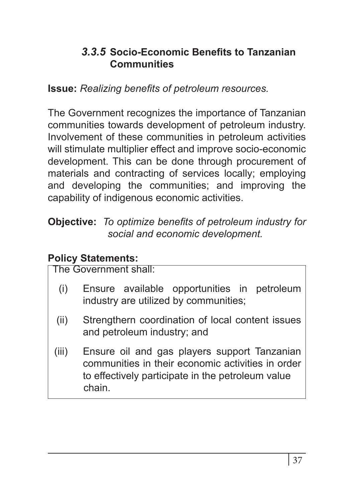### *3.3.5* **Socio-Economic Benefits to Tanzanian Communities**

**Issue:** *Realizing benefits of petroleum resources.*

The Government recognizes the importance of Tanzanian communities towards development of petroleum industry. Involvement of these communities in petroleum activities will stimulate multiplier effect and improve socio-economic development. This can be done through procurement of materials and contracting of services locally; employing and developing the communities; and improving the capability of indigenous economic activities.

**Objective:** *To optimize benefits of petroleum industry for social and economic development.*

#### **Policy Statements:**

- (i) Ensure available opportunities in petroleum industry are utilized by communities;
- (ii) Strengthern coordination of local content issues and petroleum industry; and
- (iii) Ensure oil and gas players support Tanzanian communities in their economic activities in order to effectively participate in the petroleum value chain.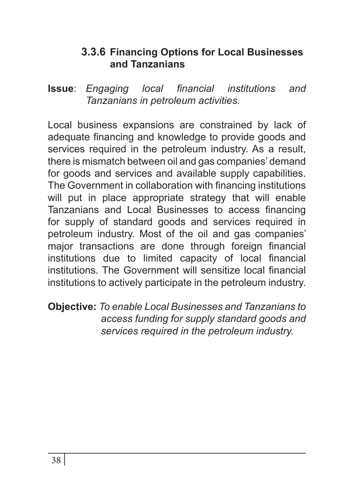#### **3.3.6 Financing Options for Local Businesses and Tanzanians**

**Issue**: *Engaging local financial institutions and Tanzanians in petroleum activities.*

Local business expansions are constrained by lack of adequate financing and knowledge to provide goods and services required in the petroleum industry. As a result, there is mismatch between oil and gas companies' demand for goods and services and available supply capabilities. The Government in collaboration with financing institutions will put in place appropriate strategy that will enable Tanzanians and Local Businesses to access financing for supply of standard goods and services required in petroleum industry. Most of the oil and gas companies' major transactions are done through foreign financial institutions due to limited capacity of local financial institutions. The Government will sensitize local financial institutions to actively participate in the petroleum industry.

**Objective:** *To enable Local Businesses and Tanzanians to access funding for supply standard goods and services required in the petroleum industry.*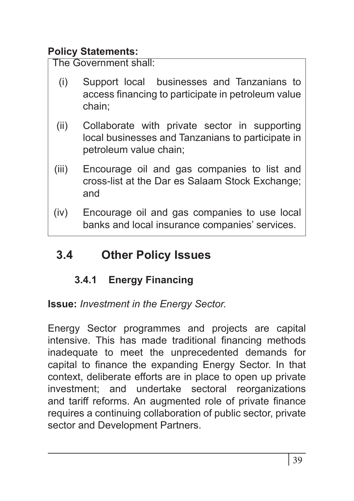# **Policy Statements:**

The Government shall:

- (i) Support local businesses and Tanzanians to access financing to participate in petroleum value chain;
- (ii) Collaborate with private sector in supporting local businesses and Tanzanians to participate in petroleum value chain;
- (iii) Encourage oil and gas companies to list and cross-list at the Dar es Salaam Stock Exchange; and
- (iv) Encourage oil and gas companies to use local banks and local insurance companies' services.

# **3.4 Other Policy Issues**

# **3.4.1 Energy Financing**

**Issue:** *Investment in the Energy Sector.*

Energy Sector programmes and projects are capital intensive. This has made traditional financing methods inadequate to meet the unprecedented demands for capital to finance the expanding Energy Sector. In that context, deliberate efforts are in place to open up private investment; and undertake sectoral reorganizations and tariff reforms. An augmented role of private finance requires a continuing collaboration of public sector, private sector and Development Partners.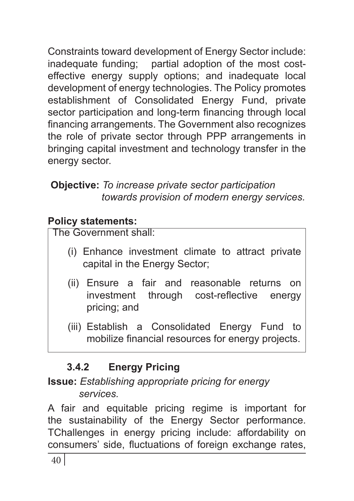Constraints toward development of Energy Sector include: inadequate funding; partial adoption of the most costeffective energy supply options; and inadequate local development of energy technologies. The Policy promotes establishment of Consolidated Energy Fund, private sector participation and long-term financing through local financing arrangements. The Government also recognizes the role of private sector through PPP arrangements in bringing capital investment and technology transfer in the energy sector.

## **Objective:** *To increase private sector participation towards provision of modern energy services.*

# **Policy statements:**

The Government shall:

- (i) Enhance investment climate to attract private capital in the Energy Sector;
- (ii) Ensure a fair and reasonable returns on investment through cost-reflective energy pricing; and
- (iii) Establish a Consolidated Energy Fund to mobilize financial resources for energy projects.

# **3.4.2 Energy Pricing**

# **Issue:** *Establishing appropriate pricing for energy services.*

A fair and equitable pricing regime is important for the sustainability of the Energy Sector performance. TChallenges in energy pricing include: affordability on consumers' side, fluctuations of foreign exchange rates,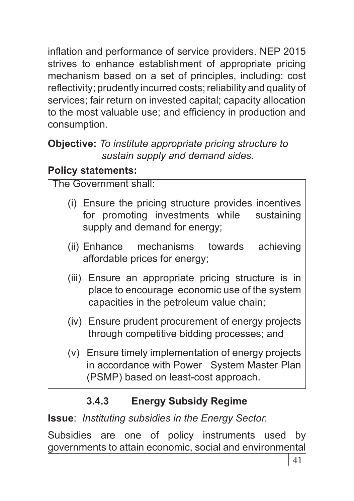inflation and performance of service providers. NEP 2015 strives to enhance establishment of appropriate pricing mechanism based on a set of principles, including: cost reflectivity; prudently incurred costs; reliability and quality of services; fair return on invested capital; capacity allocation to the most valuable use; and efficiency in production and consumption.

#### **Objective:** *To institute appropriate pricing structure to sustain supply and demand sides.*

# **Policy statements:**

The Government shall: (i) Ensure the pricing structure provides incentives for promoting investments while sustaining supply and demand for energy; (ii) Enhance mechanisms towards achieving affordable prices for energy;

- (iii) Ensure an appropriate pricing structure is in place to encourage economic use of the system capacities in the petroleum value chain;
- (iv) Ensure prudent procurement of energy projects through competitive bidding processes; and
- (v) Ensure timely implementation of energy projects in accordance with Power System Master Plan (PSMP) based on least-cost approach.

# **3.4.3 Energy Subsidy Regime**

**Issue**: *Instituting subsidies in the Energy Sector.*

Subsidies are one of policy instruments used by governments to attain economic, social and environmental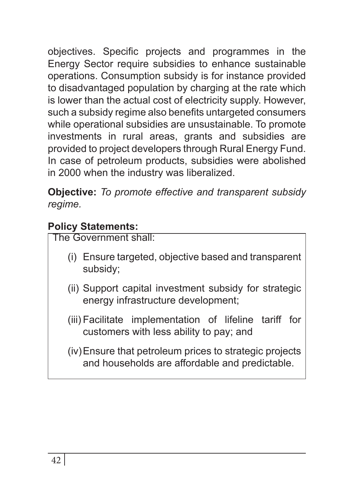objectives. Specific projects and programmes in the Energy Sector require subsidies to enhance sustainable operations. Consumption subsidy is for instance provided to disadvantaged population by charging at the rate which is lower than the actual cost of electricity supply. However, such a subsidy regime also benefits untargeted consumers while operational subsidies are unsustainable. To promote investments in rural areas, grants and subsidies are provided to project developers through Rural Energy Fund. In case of petroleum products, subsidies were abolished in 2000 when the industry was liberalized.

**Objective:** *To promote effective and transparent subsidy regime.* 

# **Policy Statements:**

- (i) Ensure targeted, objective based and transparent subsidy;
- (ii) Support capital investment subsidy for strategic energy infrastructure development;
- (iii) Facilitate implementation of lifeline tariff for customers with less ability to pay; and
- (iv)Ensure that petroleum prices to strategic projects and households are affordable and predictable.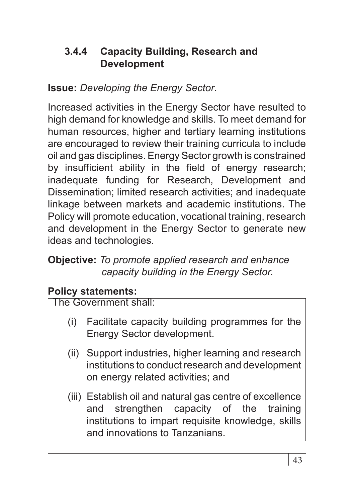## **3.4.4 Capacity Building, Research and Development**

# **Issue:** *Developing the Energy Sector*.

Increased activities in the Energy Sector have resulted to high demand for knowledge and skills. To meet demand for human resources, higher and tertiary learning institutions are encouraged to review their training curricula to include oil and gas disciplines. Energy Sector growth is constrained by insufficient ability in the field of energy research; inadequate funding for Research, Development and Dissemination; limited research activities; and inadequate linkage between markets and academic institutions. The Policy will promote education, vocational training, research and development in the Energy Sector to generate new ideas and technologies.

#### **Objective:** *To promote applied research and enhance capacity building in the Energy Sector.*

# **Policy statements:**

- (i) Facilitate capacity building programmes for the Energy Sector development.
- (ii) Support industries, higher learning and research institutions to conduct research and development on energy related activities; and
- (iii) Establish oil and natural gas centre of excellence and strengthen capacity of the training institutions to impart requisite knowledge, skills and innovations to Tanzanians.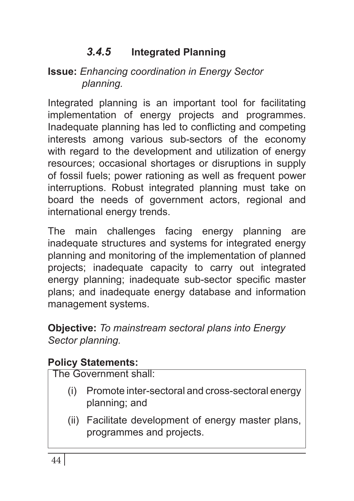# *3.4.5* **Integrated Planning**

#### **Issue:** *Enhancing coordination in Energy Sector planning.*

Integrated planning is an important tool for facilitating implementation of energy projects and programmes. Inadequate planning has led to conflicting and competing interests among various sub-sectors of the economy with regard to the development and utilization of energy resources; occasional shortages or disruptions in supply of fossil fuels; power rationing as well as frequent power interruptions. Robust integrated planning must take on board the needs of government actors, regional and international energy trends.

The main challenges facing energy planning are inadequate structures and systems for integrated energy planning and monitoring of the implementation of planned projects; inadequate capacity to carry out integrated energy planning; inadequate sub-sector specific master plans; and inadequate energy database and information management systems.

**Objective:** *To mainstream sectoral plans into Energy Sector planning.*

# **Policy Statements:**

- (i) Promote inter-sectoral and cross-sectoral energy planning; and
- (ii) Facilitate development of energy master plans, programmes and projects.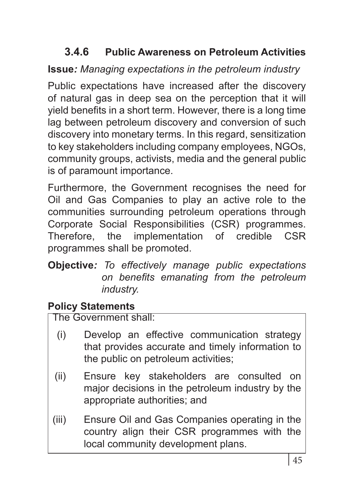# **3.4.6 Public Awareness on Petroleum Activities**

# **Issue***: Managing expectations in the petroleum industry*

Public expectations have increased after the discovery of natural gas in deep sea on the perception that it will yield benefits in a short term. However, there is a long time lag between petroleum discovery and conversion of such discovery into monetary terms. In this regard, sensitization to key stakeholders including company employees, NGOs, community groups, activists, media and the general public is of paramount importance.

Furthermore, the Government recognises the need for Oil and Gas Companies to play an active role to the communities surrounding petroleum operations through Corporate Social Responsibilities (CSR) programmes. Therefore, the implementation of credible CSR programmes shall be promoted.

#### **Objective***: To effectively manage public expectations on benefits emanating from the petroleum industry.*

# **Policy Statements**

- (i) Develop an effective communication strategy that provides accurate and timely information to the public on petroleum activities;
- (ii) Ensure key stakeholders are consulted on major decisions in the petroleum industry by the appropriate authorities; and
- (iii) Ensure Oil and Gas Companies operating in the country align their CSR programmes with the local community development plans.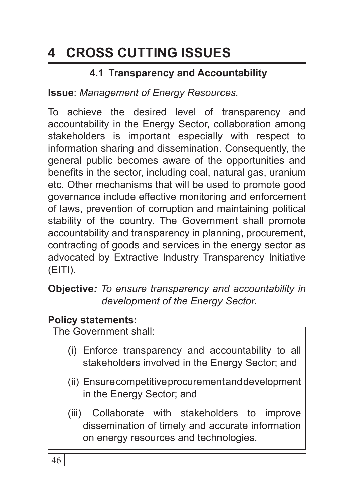# **4 CROSS CUTTING ISSUES**

# **4.1 Transparency and Accountability**

**Issue**: *Management of Energy Resources.*

To achieve the desired level of transparency and accountability in the Energy Sector, collaboration among stakeholders is important especially with respect to information sharing and dissemination. Consequently, the general public becomes aware of the opportunities and benefits in the sector, including coal, natural gas, uranium etc. Other mechanisms that will be used to promote good governance include effective monitoring and enforcement of laws, prevention of corruption and maintaining political stability of the country. The Government shall promote accountability and transparency in planning, procurement, contracting of goods and services in the energy sector as advocated by Extractive Industry Transparency Initiative (EITI).

#### **Objective***: To ensure transparency and accountability in development of the Energy Sector.*

#### **Policy statements:**

- (i) Enforce transparency and accountability to all stakeholders involved in the Energy Sector; and
- (ii) Ensure competitive procurement and development in the Energy Sector; and
- (iii) Collaborate with stakeholders to improve dissemination of timely and accurate information on energy resources and technologies.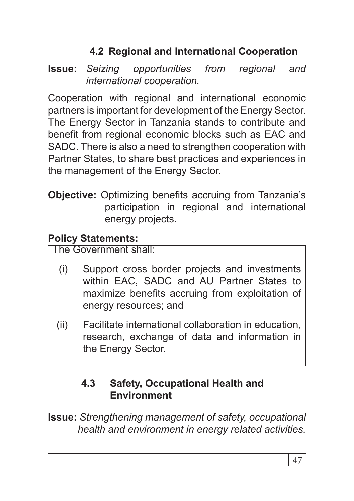# **4.2 Regional and International Cooperation**

**Issue:** *Seizing opportunities from regional and international cooperation.*

Cooperation with regional and international economic partners is important for development of the Energy Sector. The Energy Sector in Tanzania stands to contribute and benefit from regional economic blocks such as EAC and SADC. There is also a need to strengthen cooperation with Partner States, to share best practices and experiences in the management of the Energy Sector.

**Objective:** Optimizing benefits accruing from Tanzania's participation in regional and international energy projects.

# **Policy Statements:**

The Government shall:

- (i) Support cross border projects and investments within EAC, SADC and AU Partner States to maximize benefits accruing from exploitation of energy resources; and
- (ii) Facilitate international collaboration in education, research, exchange of data and information in the Energy Sector.

## **4.3 Safety, Occupational Health and Environment**

**Issue:** *Strengthening management of safety, occupational health and environment in energy related activities.*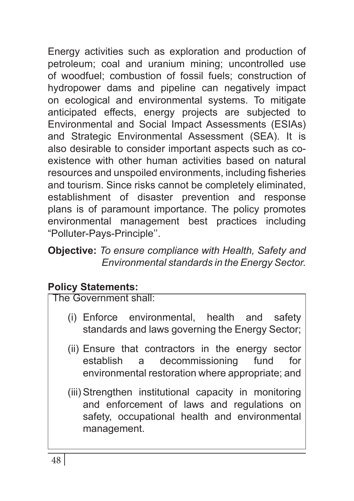Energy activities such as exploration and production of petroleum; coal and uranium mining; uncontrolled use of woodfuel; combustion of fossil fuels; construction of hydropower dams and pipeline can negatively impact on ecological and environmental systems. To mitigate anticipated effects, energy projects are subjected to Environmental and Social Impact Assessments (ESIAs) and Strategic Environmental Assessment (SEA). It is also desirable to consider important aspects such as coexistence with other human activities based on natural resources and unspoiled environments, including fisheries and tourism. Since risks cannot be completely eliminated, establishment of disaster prevention and response plans is of paramount importance. The policy promotes environmental management best practices including "Polluter-Pays-Principle''.

#### **Objective:** *To ensure compliance with Health, Safety and Environmental standards in the Energy Sector.*

# **Policy Statements:**

- (i) Enforce environmental, health and safety standards and laws governing the Energy Sector;
- (ii) Ensure that contractors in the energy sector establish a decommissioning fund for environmental restoration where appropriate; and
- (iii) Strengthen institutional capacity in monitoring and enforcement of laws and regulations on safety, occupational health and environmental management.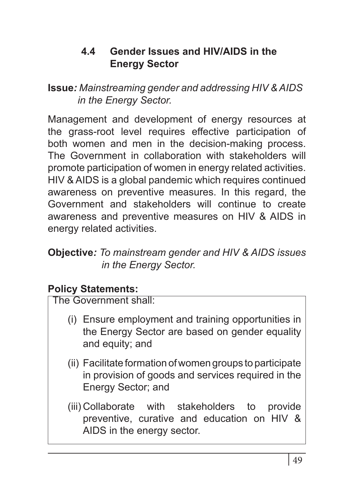#### **4.4 Gender Issues and HIV/AIDS in the Energy Sector**

**Issue***: Mainstreaming gender and addressing HIV & AIDS in the Energy Sector.*

Management and development of energy resources at the grass-root level requires effective participation of both women and men in the decision-making process. The Government in collaboration with stakeholders will promote participation of women in energy related activities. HIV & AIDS is a global pandemic which requires continued awareness on preventive measures. In this regard, the Government and stakeholders will continue to create awareness and preventive measures on HIV & AIDS in energy related activities.

#### **Objective***: To mainstream gender and HIV & AIDS issues in the Energy Sector.*

#### **Policy Statements:**

The Government shall:

- (i) Ensure employment and training opportunities in the Energy Sector are based on gender equality and equity; and
- (ii) Facilitate formation of women groups to participate in provision of goods and services required in the Energy Sector; and
- (iii) Collaborate with stakeholders to provide preventive, curative and education on HIV & AIDS in the energy sector.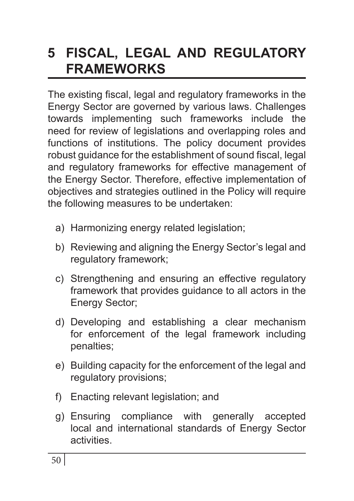# **5 FISCAL, LEGAL AND REGULATORY FRAMEWORKS**

The existing fiscal, legal and regulatory frameworks in the Energy Sector are governed by various laws. Challenges towards implementing such frameworks include the need for review of legislations and overlapping roles and functions of institutions. The policy document provides robust guidance for the establishment of sound fiscal, legal and regulatory frameworks for effective management of the Energy Sector. Therefore, effective implementation of objectives and strategies outlined in the Policy will require the following measures to be undertaken:

- a) Harmonizing energy related legislation;
- b) Reviewing and aligning the Energy Sector's legal and regulatory framework;
- c) Strengthening and ensuring an effective regulatory framework that provides guidance to all actors in the Energy Sector;
- d) Developing and establishing a clear mechanism for enforcement of the legal framework including penalties;
- e) Building capacity for the enforcement of the legal and regulatory provisions;
- f) Enacting relevant legislation; and
- g) Ensuring compliance with generally accepted local and international standards of Energy Sector activities.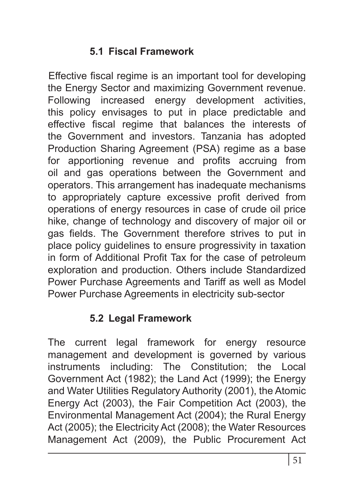#### **5.1 Fiscal Framework**

Effective fiscal regime is an important tool for developing the Energy Sector and maximizing Government revenue. Following increased energy development activities, this policy envisages to put in place predictable and effective fiscal regime that balances the interests of the Government and investors. Tanzania has adopted Production Sharing Agreement (PSA) regime as a base for apportioning revenue and profits accruing from oil and gas operations between the Government and operators. This arrangement has inadequate mechanisms to appropriately capture excessive profit derived from operations of energy resources in case of crude oil price hike, change of technology and discovery of major oil or gas fields. The Government therefore strives to put in place policy guidelines to ensure progressivity in taxation in form of Additional Profit Tax for the case of petroleum exploration and production. Others include Standardized Power Purchase Agreements and Tariff as well as Model Power Purchase Agreements in electricity sub-sector

## **5.2 Legal Framework**

The current legal framework for energy resource management and development is governed by various instruments including: The Constitution; the Local Government Act (1982); the Land Act (1999); the Energy and Water Utilities Regulatory Authority (2001), the Atomic Energy Act (2003), the Fair Competition Act (2003), the Environmental Management Act (2004); the Rural Energy Act (2005); the Electricity Act (2008); the Water Resources Management Act (2009), the Public Procurement Act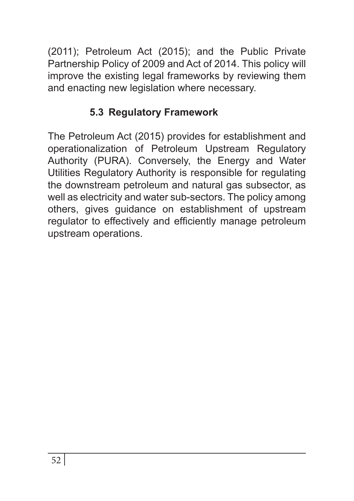(2011); Petroleum Act (2015); and the Public Private Partnership Policy of 2009 and Act of 2014. This policy will improve the existing legal frameworks by reviewing them and enacting new legislation where necessary.

# **5.3 Regulatory Framework**

The Petroleum Act (2015) provides for establishment and operationalization of Petroleum Upstream Regulatory Authority (PURA). Conversely, the Energy and Water Utilities Regulatory Authority is responsible for regulating the downstream petroleum and natural gas subsector, as well as electricity and water sub-sectors. The policy among others, gives guidance on establishment of upstream regulator to effectively and efficiently manage petroleum upstream operations.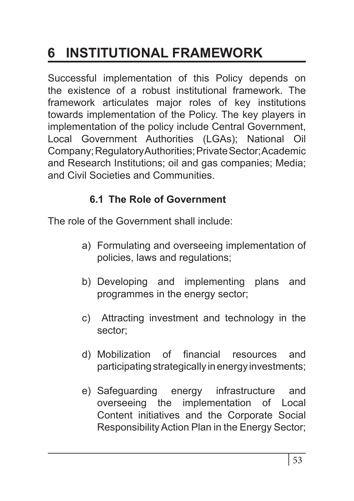# **6 INSTITUTIONAL FRAMEWORK**

Successful implementation of this Policy depends on the existence of a robust institutional framework. The framework articulates major roles of key institutions towards implementation of the Policy. The key players in implementation of the policy include Central Government, Local Government Authorities (LGAs); National Oil Company; Regulatory Authorities; Private Sector; Academic and Research Institutions; oil and gas companies; Media; and Civil Societies and Communities.

## **6.1 The Role of Government**

The role of the Government shall include:

- a) Formulating and overseeing implementation of policies, laws and regulations;
- b) Developing and implementing plans and programmes in the energy sector;
- c) Attracting investment and technology in the sector;
- d) Mobilization of financial resources and participating strategically in energy investments;
- e) Safeguarding energy infrastructure and overseeing the implementation of Local Content initiatives and the Corporate Social Responsibility Action Plan in the Energy Sector;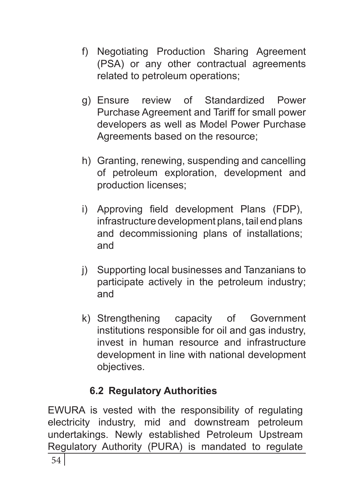- f) Negotiating Production Sharing Agreement (PSA) or any other contractual agreements related to petroleum operations;
- g) Ensure review of Standardized Power Purchase Agreement and Tariff for small power developers as well as Model Power Purchase Agreements based on the resource;
- h) Granting, renewing, suspending and cancelling of petroleum exploration, development and production licenses;
- i) Approving field development Plans (FDP), infrastructure development plans, tail end plans and decommissioning plans of installations; and
- j) Supporting local businesses and Tanzanians to participate actively in the petroleum industry; and
- k) Strengthening capacity of Government institutions responsible for oil and gas industry, invest in human resource and infrastructure development in line with national development objectives.

# **6.2 Regulatory Authorities**

EWURA is vested with the responsibility of regulating electricity industry, mid and downstream petroleum undertakings. Newly established Petroleum Upstream Regulatory Authority (PURA) is mandated to regulate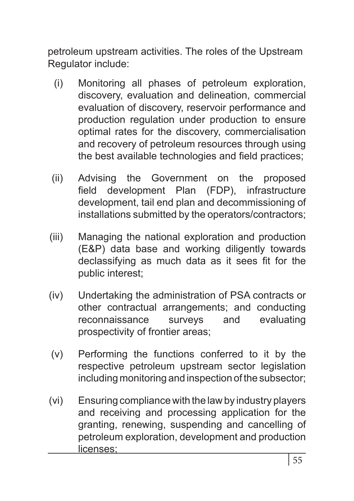petroleum upstream activities. The roles of the Upstream Regulator include:

- (i) Monitoring all phases of petroleum exploration, discovery, evaluation and delineation, commercial evaluation of discovery, reservoir performance and production regulation under production to ensure optimal rates for the discovery, commercialisation and recovery of petroleum resources through using the best available technologies and field practices;
- (ii) Advising the Government on the proposed field development Plan (FDP), infrastructure development, tail end plan and decommissioning of installations submitted by the operators/contractors;
- (iii) Managing the national exploration and production (E&P) data base and working diligently towards declassifying as much data as it sees fit for the public interest;
- (iv) Undertaking the administration of PSA contracts or other contractual arrangements; and conducting reconnaissance surveys and evaluating prospectivity of frontier areas;
- (v) Performing the functions conferred to it by the respective petroleum upstream sector legislation including monitoring and inspection of the subsector;
- (vi) Ensuring compliance with the law by industry players and receiving and processing application for the granting, renewing, suspending and cancelling of petroleum exploration, development and production licenses;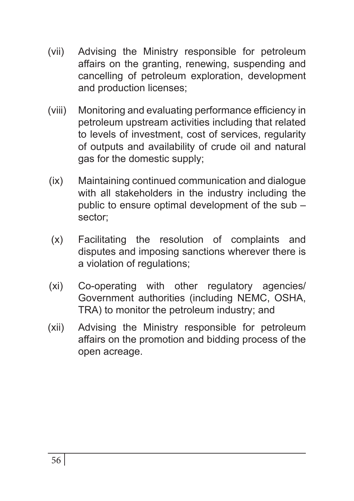- (vii) Advising the Ministry responsible for petroleum affairs on the granting, renewing, suspending and cancelling of petroleum exploration, development and production licenses;
- (viii) Monitoring and evaluating performance efficiency in petroleum upstream activities including that related to levels of investment, cost of services, regularity of outputs and availability of crude oil and natural gas for the domestic supply;
- (ix) Maintaining continued communication and dialogue with all stakeholders in the industry including the public to ensure optimal development of the sub – sector;
- (x) Facilitating the resolution of complaints and disputes and imposing sanctions wherever there is a violation of regulations;
- (xi) Co-operating with other regulatory agencies/ Government authorities (including NEMC, OSHA, TRA) to monitor the petroleum industry; and
- (xii) Advising the Ministry responsible for petroleum affairs on the promotion and bidding process of the open acreage.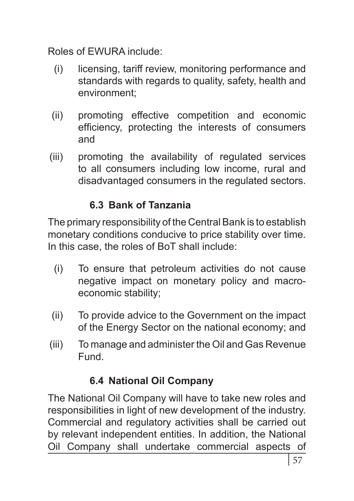Roles of EWURA include:

- (i) licensing, tariff review, monitoring performance and standards with regards to quality, safety, health and environment;
- (ii) promoting effective competition and economic efficiency, protecting the interests of consumers and
- (iii) promoting the availability of regulated services to all consumers including low income, rural and disadvantaged consumers in the regulated sectors.

# **6.3 Bank of Tanzania**

The primary responsibility of the Central Bank is to establish monetary conditions conducive to price stability over time. In this case, the roles of BoT shall include:

- (i) To ensure that petroleum activities do not cause negative impact on monetary policy and macroeconomic stability;
- (ii) To provide advice to the Government on the impact of the Energy Sector on the national economy; and
- (iii) To manage and administer the Oil and Gas Revenue Fund.

# **6.4 National Oil Company**

The National Oil Company will have to take new roles and responsibilities in light of new development of the industry. Commercial and regulatory activities shall be carried out by relevant independent entities. In addition, the National Oil Company shall undertake commercial aspects of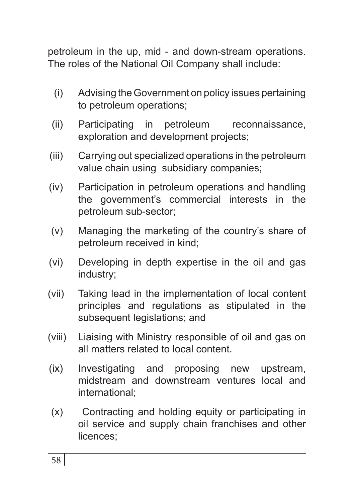petroleum in the up, mid - and down-stream operations. The roles of the National Oil Company shall include:

- (i) Advising the Government on policy issues pertaining to petroleum operations;
- (ii) Participating in petroleum reconnaissance, exploration and development projects;
- (iii) Carrying out specialized operations in the petroleum value chain using subsidiary companies;
- (iv) Participation in petroleum operations and handling the government's commercial interests in the petroleum sub-sector;
- (v) Managing the marketing of the country's share of petroleum received in kind;
- (vi) Developing in depth expertise in the oil and gas industry;
- (vii) Taking lead in the implementation of local content principles and regulations as stipulated in the subsequent legislations; and
- (viii) Liaising with Ministry responsible of oil and gas on all matters related to local content.
- (ix) Investigating and proposing new upstream, midstream and downstream ventures local and international;
- (x) Contracting and holding equity or participating in oil service and supply chain franchises and other licences;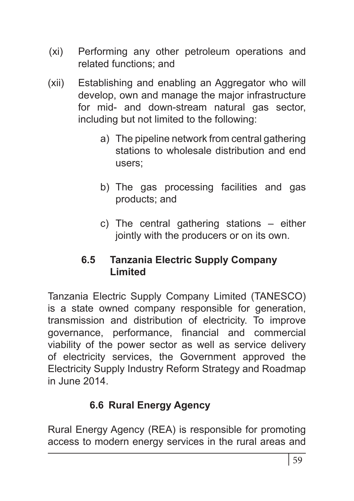- (xi) Performing any other petroleum operations and related functions; and
- (xii) Establishing and enabling an Aggregator who will develop, own and manage the major infrastructure for mid- and down-stream natural gas sector, including but not limited to the following:
	- a) The pipeline network from central gathering stations to wholesale distribution and end users;
	- b) The gas processing facilities and gas products; and
	- c) The central gathering stations either jointly with the producers or on its own.

#### **6.5 Tanzania Electric Supply Company Limited**

Tanzania Electric Supply Company Limited (TANESCO) is a state owned company responsible for generation, transmission and distribution of electricity. To improve governance, performance, financial and commercial viability of the power sector as well as service delivery of electricity services, the Government approved the Electricity Supply Industry Reform Strategy and Roadmap in June 2014.

# **6.6 Rural Energy Agency**

Rural Energy Agency (REA) is responsible for promoting access to modern energy services in the rural areas and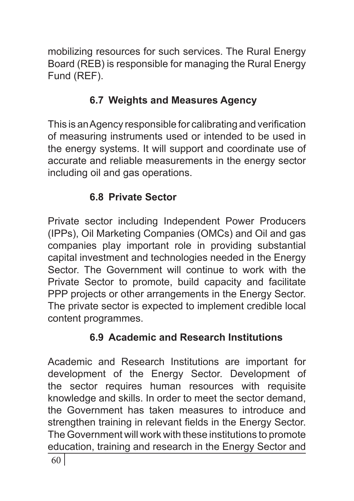mobilizing resources for such services. The Rural Energy Board (REB) is responsible for managing the Rural Energy Fund (REF).

# **6.7 Weights and Measures Agency**

This is an Agency responsible for calibrating and verification of measuring instruments used or intended to be used in the energy systems. It will support and coordinate use of accurate and reliable measurements in the energy sector including oil and gas operations.

# **6.8 Private Sector**

Private sector including Independent Power Producers (IPPs), Oil Marketing Companies (OMCs) and Oil and gas companies play important role in providing substantial capital investment and technologies needed in the Energy Sector. The Government will continue to work with the Private Sector to promote, build capacity and facilitate PPP projects or other arrangements in the Energy Sector. The private sector is expected to implement credible local content programmes.

# **6.9 Academic and Research Institutions**

Academic and Research Institutions are important for development of the Energy Sector. Development of the sector requires human resources with requisite knowledge and skills. In order to meet the sector demand, the Government has taken measures to introduce and strengthen training in relevant fields in the Energy Sector. The Government will work with these institutions to promote education, training and research in the Energy Sector and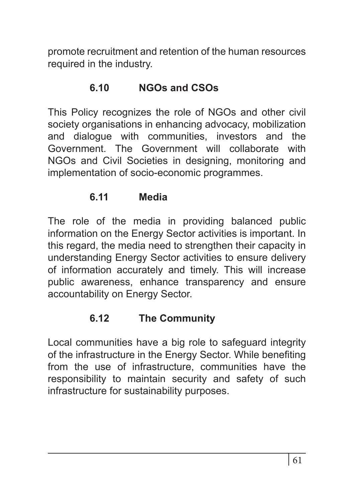promote recruitment and retention of the human resources required in the industry.

#### **6.10 NGOs and CSOs**

This Policy recognizes the role of NGOs and other civil society organisations in enhancing advocacy, mobilization and dialogue with communities, investors and the Government. The Government will collaborate with NGOs and Civil Societies in designing, monitoring and implementation of socio-economic programmes.

#### **6.11 Media**

The role of the media in providing balanced public information on the Energy Sector activities is important. In this regard, the media need to strengthen their capacity in understanding Energy Sector activities to ensure delivery of information accurately and timely. This will increase public awareness, enhance transparency and ensure accountability on Energy Sector.

#### **6.12 The Community**

Local communities have a big role to safeguard integrity of the infrastructure in the Energy Sector. While benefiting from the use of infrastructure, communities have the responsibility to maintain security and safety of such infrastructure for sustainability purposes.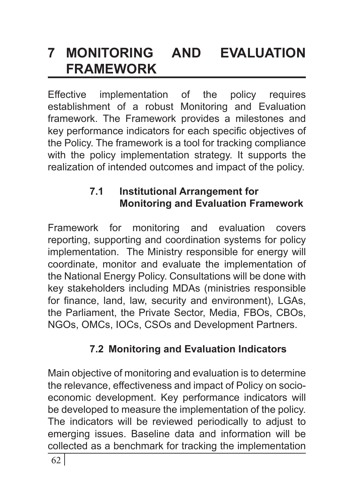# **7 MONITORING AND EVALUATION FRAMEWORK**

Effective implementation of the policy requires establishment of a robust Monitoring and Evaluation framework. The Framework provides a milestones and key performance indicators for each specific objectives of the Policy. The framework is a tool for tracking compliance with the policy implementation strategy. It supports the realization of intended outcomes and impact of the policy.

## **7.1 Institutional Arrangement for Monitoring and Evaluation Framework**

Framework for monitoring and evaluation covers reporting, supporting and coordination systems for policy implementation. The Ministry responsible for energy will coordinate, monitor and evaluate the implementation of the National Energy Policy. Consultations will be done with key stakeholders including MDAs (ministries responsible for finance, land, law, security and environment), LGAs, the Parliament, the Private Sector, Media, FBOs, CBOs, NGOs, OMCs, IOCs, CSOs and Development Partners.

# **7.2 Monitoring and Evaluation Indicators**

Main objective of monitoring and evaluation is to determine the relevance, effectiveness and impact of Policy on socioeconomic development. Key performance indicators will be developed to measure the implementation of the policy. The indicators will be reviewed periodically to adjust to emerging issues. Baseline data and information will be collected as a benchmark for tracking the implementation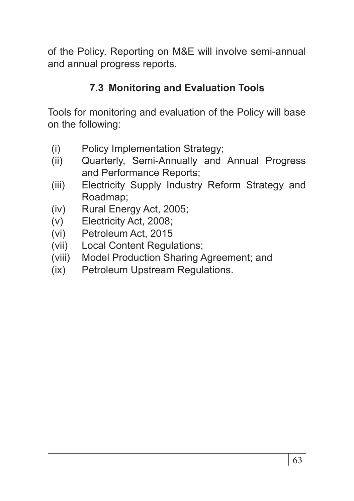of the Policy. Reporting on M&E will involve semi-annual and annual progress reports.

## **7.3 Monitoring and Evaluation Tools**

Tools for monitoring and evaluation of the Policy will base on the following:

- (i) Policy Implementation Strategy;
- (ii) Quarterly, Semi-Annually and Annual Progress and Performance Reports;
- (iii) Electricity Supply Industry Reform Strategy and Roadmap;
- (iv) Rural Energy Act, 2005;
- (v) Electricity Act, 2008;
- (vi) Petroleum Act, 2015
- (vii) Local Content Regulations;
- (viii) Model Production Sharing Agreement; and
- (ix) Petroleum Upstream Regulations.